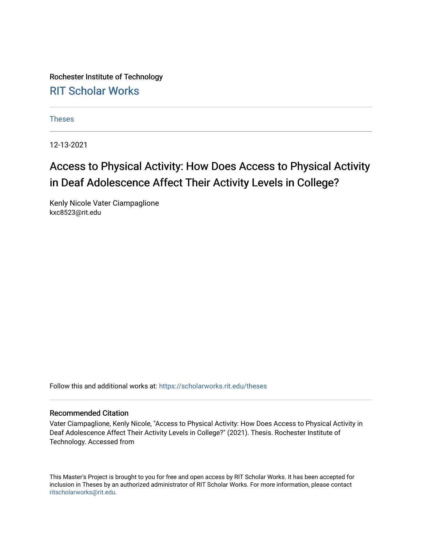Rochester Institute of Technology [RIT Scholar Works](https://scholarworks.rit.edu/)

[Theses](https://scholarworks.rit.edu/theses) 

12-13-2021

# Access to Physical Activity: How Does Access to Physical Activity in Deaf Adolescence Affect Their Activity Levels in College?

Kenly Nicole Vater Ciampaglione kxc8523@rit.edu

Follow this and additional works at: [https://scholarworks.rit.edu/theses](https://scholarworks.rit.edu/theses?utm_source=scholarworks.rit.edu%2Ftheses%2F11085&utm_medium=PDF&utm_campaign=PDFCoverPages) 

#### Recommended Citation

Vater Ciampaglione, Kenly Nicole, "Access to Physical Activity: How Does Access to Physical Activity in Deaf Adolescence Affect Their Activity Levels in College?" (2021). Thesis. Rochester Institute of Technology. Accessed from

This Master's Project is brought to you for free and open access by RIT Scholar Works. It has been accepted for inclusion in Theses by an authorized administrator of RIT Scholar Works. For more information, please contact [ritscholarworks@rit.edu](mailto:ritscholarworks@rit.edu).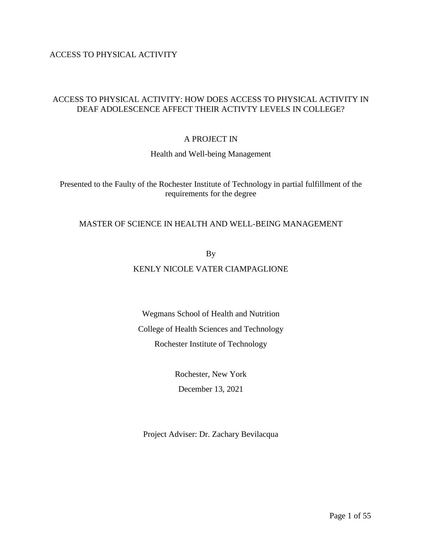ACCESS TO PHYSICAL ACTIVITY

## ACCESS TO PHYSICAL ACTIVITY: HOW DOES ACCESS TO PHYSICAL ACTIVITY IN DEAF ADOLESCENCE AFFECT THEIR ACTIVTY LEVELS IN COLLEGE?

## A PROJECT IN

Health and Well-being Management

Presented to the Faulty of the Rochester Institute of Technology in partial fulfillment of the requirements for the degree

## MASTER OF SCIENCE IN HEALTH AND WELL-BEING MANAGEMENT

By

## KENLY NICOLE VATER CIAMPAGLIONE

Wegmans School of Health and Nutrition College of Health Sciences and Technology Rochester Institute of Technology

> Rochester, New York December 13, 2021

Project Adviser: Dr. Zachary Bevilacqua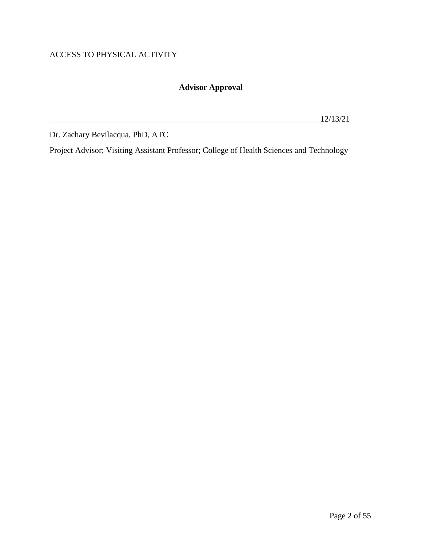## ACCESS TO PHYSICAL ACTIVITY

## **Advisor Approval**

12/13/21

Dr. Zachary Bevilacqua, PhD, ATC

Project Advisor; Visiting Assistant Professor; College of Health Sciences and Technology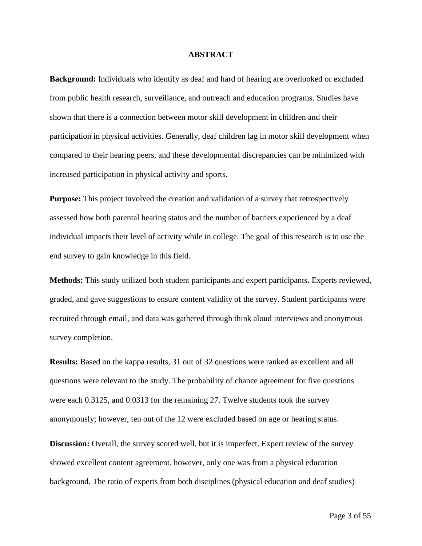#### **ABSTRACT**

**Background:** Individuals who identify as deaf and hard of hearing are overlooked or excluded from public health research, surveillance, and outreach and education programs. Studies have shown that there is a connection between motor skill development in children and their participation in physical activities. Generally, deaf children lag in motor skill development when compared to their hearing peers, and these developmental discrepancies can be minimized with increased participation in physical activity and sports.

**Purpose:** This project involved the creation and validation of a survey that retrospectively assessed how both parental hearing status and the number of barriers experienced by a deaf individual impacts their level of activity while in college. The goal of this research is to use the end survey to gain knowledge in this field.

**Methods:** This study utilized both student participants and expert participants. Experts reviewed, graded, and gave suggestions to ensure content validity of the survey. Student participants were recruited through email, and data was gathered through think aloud interviews and anonymous survey completion.

**Results:** Based on the kappa results, 31 out of 32 questions were ranked as excellent and all questions were relevant to the study. The probability of chance agreement for five questions were each 0.3125, and 0.0313 for the remaining 27. Twelve students took the survey anonymously; however, ten out of the 12 were excluded based on age or hearing status.

**Discussion:** Overall, the survey scored well, but it is imperfect. Expert review of the survey showed excellent content agreement, however, only one was from a physical education background. The ratio of experts from both disciplines (physical education and deaf studies)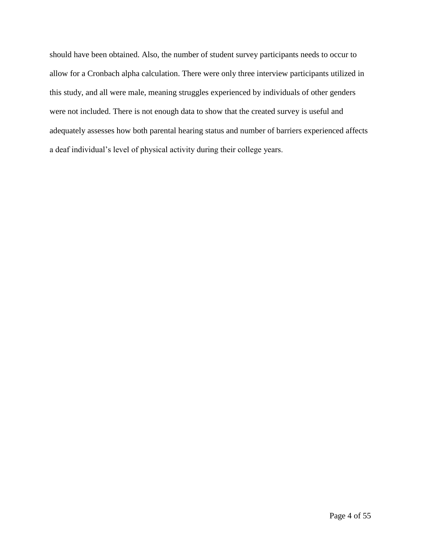should have been obtained. Also, the number of student survey participants needs to occur to allow for a Cronbach alpha calculation. There were only three interview participants utilized in this study, and all were male, meaning struggles experienced by individuals of other genders were not included. There is not enough data to show that the created survey is useful and adequately assesses how both parental hearing status and number of barriers experienced affects a deaf individual's level of physical activity during their college years.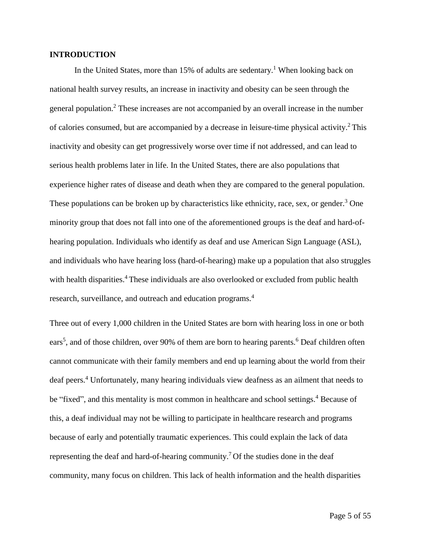## **INTRODUCTION**

In the United States, more than 15% of adults are sedentary. <sup>1</sup> When looking back on national health survey results, an increase in inactivity and obesity can be seen through the general population.<sup>2</sup> These increases are not accompanied by an overall increase in the number of calories consumed, but are accompanied by a decrease in leisure-time physical activity.<sup>2</sup> This inactivity and obesity can get progressively worse over time if not addressed, and can lead to serious health problems later in life. In the United States, there are also populations that experience higher rates of disease and death when they are compared to the general population. These populations can be broken up by characteristics like ethnicity, race, sex, or gender.<sup>3</sup> One minority group that does not fall into one of the aforementioned groups is the deaf and hard-ofhearing population. Individuals who identify as deaf and use American Sign Language (ASL), and individuals who have hearing loss (hard-of-hearing) make up a population that also struggles with health disparities.<sup>4</sup> These individuals are also overlooked or excluded from public health research, surveillance, and outreach and education programs.<sup>4</sup>

Three out of every 1,000 children in the United States are born with hearing loss in one or both ears<sup>5</sup>, and of those children, over 90% of them are born to hearing parents.<sup>6</sup> Deaf children often cannot communicate with their family members and end up learning about the world from their deaf peers.<sup>4</sup> Unfortunately, many hearing individuals view deafness as an ailment that needs to be "fixed", and this mentality is most common in healthcare and school settings.<sup>4</sup> Because of this, a deaf individual may not be willing to participate in healthcare research and programs because of early and potentially traumatic experiences. This could explain the lack of data representing the deaf and hard-of-hearing community.<sup>7</sup> Of the studies done in the deaf community, many focus on children. This lack of health information and the health disparities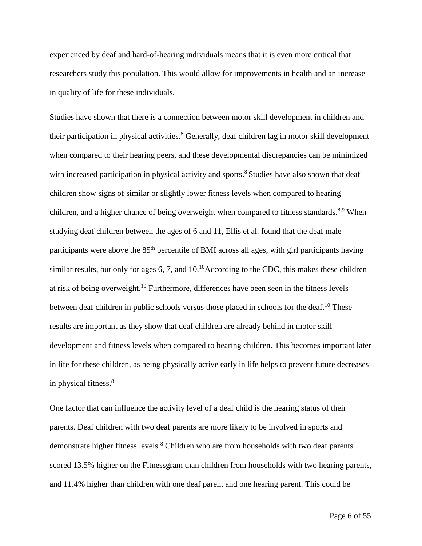experienced by deaf and hard-of-hearing individuals means that it is even more critical that researchers study this population. This would allow for improvements in health and an increase in quality of life for these individuals.

Studies have shown that there is a connection between motor skill development in children and their participation in physical activities.<sup>8</sup> Generally, deaf children lag in motor skill development when compared to their hearing peers, and these developmental discrepancies can be minimized with increased participation in physical activity and sports.<sup>8</sup> Studies have also shown that deaf children show signs of similar or slightly lower fitness levels when compared to hearing children, and a higher chance of being overweight when compared to fitness standards.<sup>8,9</sup> When studying deaf children between the ages of 6 and 11, Ellis et al. found that the deaf male participants were above the 85<sup>th</sup> percentile of BMI across all ages, with girl participants having similar results, but only for ages  $6, 7$ , and  $10^{10}$ According to the CDC, this makes these children at risk of being overweight.<sup>10</sup> Furthermore, differences have been seen in the fitness levels between deaf children in public schools versus those placed in schools for the deaf.<sup>10</sup> These results are important as they show that deaf children are already behind in motor skill development and fitness levels when compared to hearing children. This becomes important later in life for these children, as being physically active early in life helps to prevent future decreases in physical fitness.<sup>8</sup>

One factor that can influence the activity level of a deaf child is the hearing status of their parents. Deaf children with two deaf parents are more likely to be involved in sports and demonstrate higher fitness levels.<sup>8</sup> Children who are from households with two deaf parents scored 13.5% higher on the Fitnessgram than children from households with two hearing parents, and 11.4% higher than children with one deaf parent and one hearing parent. This could be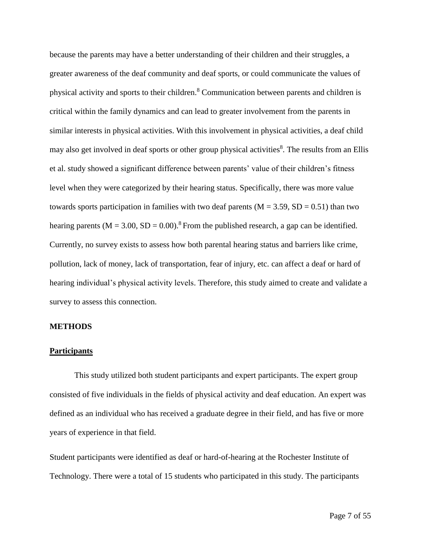because the parents may have a better understanding of their children and their struggles, a greater awareness of the deaf community and deaf sports, or could communicate the values of physical activity and sports to their children.<sup>8</sup> Communication between parents and children is critical within the family dynamics and can lead to greater involvement from the parents in similar interests in physical activities. With this involvement in physical activities, a deaf child may also get involved in deaf sports or other group physical activities<sup>8</sup>. The results from an Ellis et al. study showed a significant difference between parents' value of their children's fitness level when they were categorized by their hearing status. Specifically, there was more value towards sports participation in families with two deaf parents ( $M = 3.59$ ,  $SD = 0.51$ ) than two hearing parents ( $M = 3.00$ ,  $SD = 0.00$ ).<sup>8</sup> From the published research, a gap can be identified. Currently, no survey exists to assess how both parental hearing status and barriers like crime, pollution, lack of money, lack of transportation, fear of injury, etc. can affect a deaf or hard of hearing individual's physical activity levels. Therefore, this study aimed to create and validate a survey to assess this connection.

#### **METHODS**

#### **Participants**

This study utilized both student participants and expert participants. The expert group consisted of five individuals in the fields of physical activity and deaf education. An expert was defined as an individual who has received a graduate degree in their field, and has five or more years of experience in that field.

Student participants were identified as deaf or hard-of-hearing at the Rochester Institute of Technology. There were a total of 15 students who participated in this study. The participants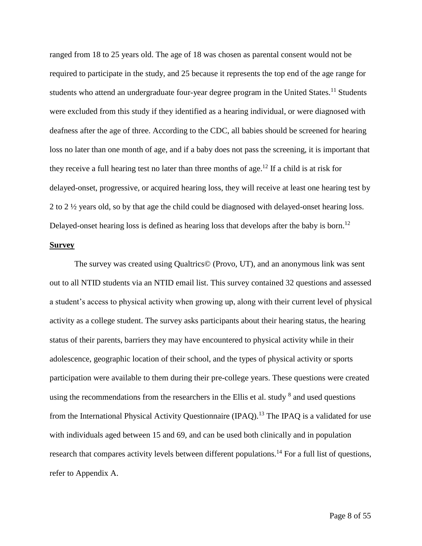ranged from 18 to 25 years old. The age of 18 was chosen as parental consent would not be required to participate in the study, and 25 because it represents the top end of the age range for students who attend an undergraduate four-year degree program in the United States.<sup>11</sup> Students were excluded from this study if they identified as a hearing individual, or were diagnosed with deafness after the age of three. According to the CDC, all babies should be screened for hearing loss no later than one month of age, and if a baby does not pass the screening, it is important that they receive a full hearing test no later than three months of age.<sup>12</sup> If a child is at risk for delayed-onset, progressive, or acquired hearing loss, they will receive at least one hearing test by 2 to 2 ½ years old, so by that age the child could be diagnosed with delayed-onset hearing loss. Delayed-onset hearing loss is defined as hearing loss that develops after the baby is born.<sup>12</sup>

## **Survey**

The survey was created using Qualtrics© (Provo, UT), and an anonymous link was sent out to all NTID students via an NTID email list. This survey contained 32 questions and assessed a student's access to physical activity when growing up, along with their current level of physical activity as a college student. The survey asks participants about their hearing status, the hearing status of their parents, barriers they may have encountered to physical activity while in their adolescence, geographic location of their school, and the types of physical activity or sports participation were available to them during their pre-college years. These questions were created using the recommendations from the researchers in the Ellis et al. study  $8$  and used questions from the International Physical Activity Questionnaire (IPAQ).<sup>13</sup> The IPAQ is a validated for use with individuals aged between 15 and 69, and can be used both clinically and in population research that compares activity levels between different populations.<sup>14</sup> For a full list of questions, refer to Appendix A.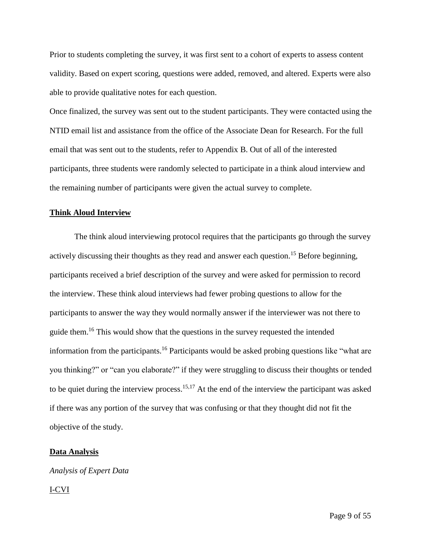Prior to students completing the survey, it was first sent to a cohort of experts to assess content validity. Based on expert scoring, questions were added, removed, and altered. Experts were also able to provide qualitative notes for each question.

Once finalized, the survey was sent out to the student participants. They were contacted using the NTID email list and assistance from the office of the Associate Dean for Research. For the full email that was sent out to the students, refer to Appendix B. Out of all of the interested participants, three students were randomly selected to participate in a think aloud interview and the remaining number of participants were given the actual survey to complete.

#### **Think Aloud Interview**

The think aloud interviewing protocol requires that the participants go through the survey actively discussing their thoughts as they read and answer each question.<sup>15</sup> Before beginning, participants received a brief description of the survey and were asked for permission to record the interview. These think aloud interviews had fewer probing questions to allow for the participants to answer the way they would normally answer if the interviewer was not there to guide them.<sup>16</sup> This would show that the questions in the survey requested the intended information from the participants.<sup>16</sup> Participants would be asked probing questions like "what are you thinking?" or "can you elaborate?" if they were struggling to discuss their thoughts or tended to be quiet during the interview process.<sup>15,17</sup> At the end of the interview the participant was asked if there was any portion of the survey that was confusing or that they thought did not fit the objective of the study.

#### **Data Analysis**

## *Analysis of Expert Data*

#### I-CVI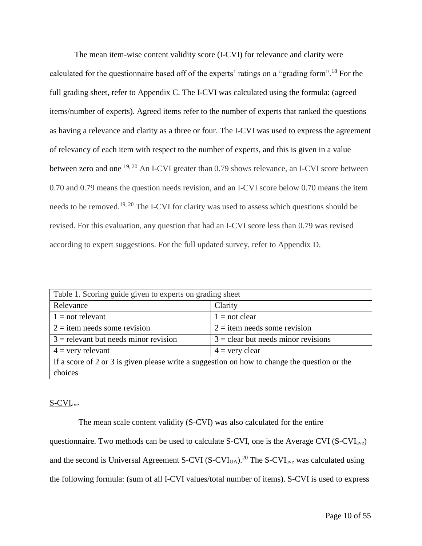The mean item-wise content validity score (I-CVI) for relevance and clarity were calculated for the questionnaire based off of the experts' ratings on a "grading form".<sup>18</sup> For the full grading sheet, refer to Appendix C. The I-CVI was calculated using the formula: (agreed items/number of experts). Agreed items refer to the number of experts that ranked the questions as having a relevance and clarity as a three or four. The I-CVI was used to express the agreement of relevancy of each item with respect to the number of experts, and this is given in a value between zero and one <sup>19, 20</sup> An I-CVI greater than 0.79 shows relevance, an I-CVI score between 0.70 and 0.79 means the question needs revision, and an I-CVI score below 0.70 means the item needs to be removed.19, 20 The I-CVI for clarity was used to assess which questions should be revised. For this evaluation, any question that had an I-CVI score less than 0.79 was revised according to expert suggestions. For the full updated survey, refer to Appendix D.

| Table 1. Scoring guide given to experts on grading sheet                                     |                                       |  |  |  |  |
|----------------------------------------------------------------------------------------------|---------------------------------------|--|--|--|--|
| Clarity<br>Relevance                                                                         |                                       |  |  |  |  |
| $1 = not$ relevant<br>$1 = not clear$                                                        |                                       |  |  |  |  |
| $2 =$ item needs some revision<br>$2 =$ item needs some revision                             |                                       |  |  |  |  |
| $3$ = relevant but needs minor revision                                                      | $3 =$ clear but needs minor revisions |  |  |  |  |
| $4 =$ very relevant<br>$4 =$ very clear                                                      |                                       |  |  |  |  |
| If a score of 2 or 3 is given please write a suggestion on how to change the question or the |                                       |  |  |  |  |
| choices                                                                                      |                                       |  |  |  |  |

## S-CVIave

The mean scale content validity (S-CVI) was also calculated for the entire questionnaire. Two methods can be used to calculate S-CVI, one is the Average CVI (S-CVI<sub>ave</sub>) and the second is Universal Agreement S-CVI (S-CVI<sub>UA</sub>).<sup>20</sup> The S-CVI<sub>ave</sub> was calculated using the following formula: (sum of all I-CVI values/total number of items). S-CVI is used to express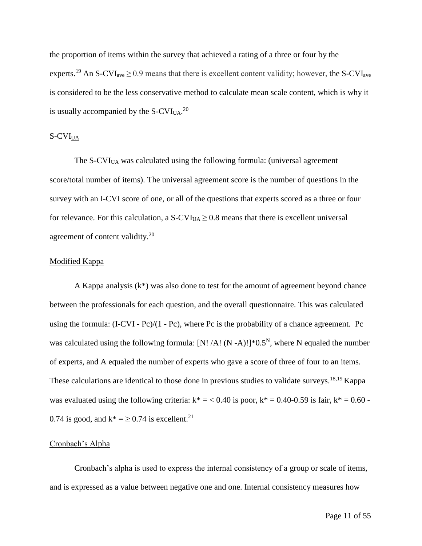the proportion of items within the survey that achieved a rating of a three or four by the experts.<sup>19</sup> An S-CVI<sub>ave</sub>  $\geq$  0.9 means that there is excellent content validity; however, the S-CVI<sub>ave</sub> is considered to be the less conservative method to calculate mean scale content, which is why it is usually accompanied by the S-CVI<sub>UA</sub>.<sup>20</sup>

## $S$ -CVI<sub>UA</sub>

The S-CVI<sub>UA</sub> was calculated using the following formula: (universal agreement score/total number of items). The universal agreement score is the number of questions in the survey with an I-CVI score of one, or all of the questions that experts scored as a three or four for relevance. For this calculation, a  $S-CVI<sub>UA</sub> \ge 0.8$  means that there is excellent universal agreement of content validity.<sup>20</sup>

## Modified Kappa

A Kappa analysis  $(k^*)$  was also done to test for the amount of agreement beyond chance between the professionals for each question, and the overall questionnaire. This was calculated using the formula:  $(I-CVI - Pc)/(1 - Pc)$ , where Pc is the probability of a chance agreement. Pc was calculated using the following formula: [N! /A! (N -A)!]\*0.5<sup>N</sup>, where N equaled the number of experts, and A equaled the number of experts who gave a score of three of four to an items. These calculations are identical to those done in previous studies to validate surveys.<sup>18,19</sup> Kappa was evaluated using the following criteria:  $k^* = 0.40$  is poor,  $k^* = 0.40$ -0.59 is fair,  $k^* = 0.60$  -0.74 is good, and  $k^* = \ge 0.74$  is excellent.<sup>21</sup>

#### Cronbach's Alpha

Cronbach's alpha is used to express the internal consistency of a group or scale of items, and is expressed as a value between negative one and one. Internal consistency measures how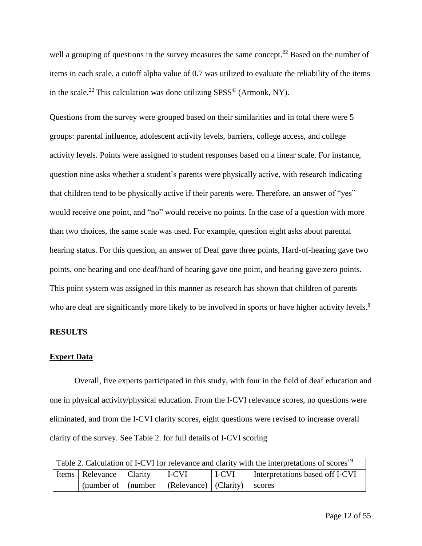well a grouping of questions in the survey measures the same concept.<sup>22</sup> Based on the number of items in each scale, a cutoff alpha value of 0.7 was utilized to evaluate the reliability of the items in the scale.<sup>22</sup> This calculation was done utilizing  $SPSS^{\circ}$  (Armonk, NY).

Questions from the survey were grouped based on their similarities and in total there were 5 groups: parental influence, adolescent activity levels, barriers, college access, and college activity levels. Points were assigned to student responses based on a linear scale. For instance, question nine asks whether a student's parents were physically active, with research indicating that children tend to be physically active if their parents were. Therefore, an answer of "yes" would receive one point, and "no" would receive no points. In the case of a question with more than two choices, the same scale was used. For example, question eight asks about parental hearing status. For this question, an answer of Deaf gave three points, Hard-of-hearing gave two points, one hearing and one deaf/hard of hearing gave one point, and hearing gave zero points. This point system was assigned in this manner as research has shown that children of parents who are deaf are significantly more likely to be involved in sports or have higher activity levels.<sup>8</sup>

## **RESULTS**

## **Expert Data**

Overall, five experts participated in this study, with four in the field of deaf education and one in physical activity/physical education. From the I-CVI relevance scores, no questions were eliminated, and from the I-CVI clarity scores, eight questions were revised to increase overall clarity of the survey. See Table 2. for full details of I-CVI scoring

| Table 2. Calculation of I-CVI for relevance and clarity with the interpretations of scores <sup>19</sup> |                                      |  |                                                                                    |                                 |  |  |
|----------------------------------------------------------------------------------------------------------|--------------------------------------|--|------------------------------------------------------------------------------------|---------------------------------|--|--|
|                                                                                                          | Items   Relevance   Clarity<br>I-CVI |  | l I-CVI                                                                            | Interpretations based off I-CVI |  |  |
|                                                                                                          |                                      |  | $\int$ (number of $\int$ (number $\int$ (Relevance) $\int$ (Clarity) $\int$ scores |                                 |  |  |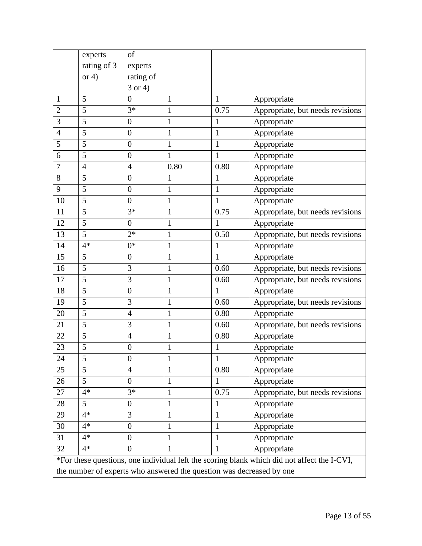|                | experts                                                              | of               |              |              |                                                                                             |  |  |
|----------------|----------------------------------------------------------------------|------------------|--------------|--------------|---------------------------------------------------------------------------------------------|--|--|
|                | rating of 3                                                          | experts          |              |              |                                                                                             |  |  |
|                | or $4)$                                                              | rating of        |              |              |                                                                                             |  |  |
|                |                                                                      | $3$ or 4)        |              |              |                                                                                             |  |  |
| 1              | 5                                                                    | $\overline{0}$   | $\mathbf{1}$ | 1            | Appropriate                                                                                 |  |  |
| $\overline{c}$ | 5                                                                    | $3*$             | $\mathbf{1}$ | 0.75         | Appropriate, but needs revisions                                                            |  |  |
| 3              | 5                                                                    | $\boldsymbol{0}$ | $\mathbf{1}$ | 1            | Appropriate                                                                                 |  |  |
| $\overline{4}$ | 5                                                                    | $\boldsymbol{0}$ | 1            | $\mathbf{1}$ | Appropriate                                                                                 |  |  |
| 5              | 5                                                                    | $\boldsymbol{0}$ | $\mathbf{1}$ | $\mathbf{1}$ | Appropriate                                                                                 |  |  |
| 6              | 5                                                                    | $\boldsymbol{0}$ | $\mathbf{1}$ | $\mathbf{1}$ | Appropriate                                                                                 |  |  |
| 7              | $\overline{4}$                                                       | $\overline{4}$   | 0.80         | 0.80         | Appropriate                                                                                 |  |  |
| 8              | 5                                                                    | $\boldsymbol{0}$ | 1            | 1            | Appropriate                                                                                 |  |  |
| 9              | 5                                                                    | $\boldsymbol{0}$ | $\mathbf{1}$ | $\mathbf{1}$ | Appropriate                                                                                 |  |  |
| 10             | 5                                                                    | $\overline{0}$   | $\mathbf{1}$ | $\mathbf{1}$ | Appropriate                                                                                 |  |  |
| 11             | 5                                                                    | $3*$             | $\mathbf{1}$ | 0.75         | Appropriate, but needs revisions                                                            |  |  |
| 12             | 5                                                                    | $\boldsymbol{0}$ | $\mathbf{1}$ | 1            | Appropriate                                                                                 |  |  |
| 13             | 5                                                                    | $2*$             | 1            | 0.50         | Appropriate, but needs revisions                                                            |  |  |
| 14             | $4*$                                                                 | $0*$             | $\mathbf{1}$ | $\mathbf{1}$ | Appropriate                                                                                 |  |  |
| 15             | 5                                                                    | $\boldsymbol{0}$ | 1            | $\mathbf{1}$ | Appropriate                                                                                 |  |  |
| 16             | 5                                                                    | 3                | $\mathbf{1}$ | 0.60         | Appropriate, but needs revisions                                                            |  |  |
| 17             | 5                                                                    | 3                | $\mathbf{1}$ | 0.60         | Appropriate, but needs revisions                                                            |  |  |
| 18             | 5                                                                    | $\boldsymbol{0}$ | 1            | 1            | Appropriate                                                                                 |  |  |
| 19             | 5                                                                    | 3                | $\mathbf{1}$ | 0.60         | Appropriate, but needs revisions                                                            |  |  |
| 20             | 5                                                                    | $\overline{4}$   | $\mathbf{1}$ | 0.80         | Appropriate                                                                                 |  |  |
| 21             | 5                                                                    | 3                | 1            | 0.60         | Appropriate, but needs revisions                                                            |  |  |
| 22             | 5                                                                    | $\overline{4}$   | $\mathbf{1}$ | 0.80         | Appropriate                                                                                 |  |  |
| 23             | 5                                                                    | $\boldsymbol{0}$ | $\mathbf{1}$ | $\mathbf 1$  | Appropriate                                                                                 |  |  |
| 24             | 5                                                                    | $\overline{0}$   | $\mathbf{1}$ | $\mathbf{1}$ | Appropriate                                                                                 |  |  |
| 25             | 5                                                                    | $\overline{4}$   | $\mathbf{1}$ | 0.80         | Appropriate                                                                                 |  |  |
| 26             | 5                                                                    | $\boldsymbol{0}$ | $\mathbf{1}$ | 1            | Appropriate                                                                                 |  |  |
| 27             | $4*$                                                                 | $3*$             | $\mathbf{1}$ | 0.75         | Appropriate, but needs revisions                                                            |  |  |
| $28\,$         | 5                                                                    | $\boldsymbol{0}$ | $\mathbf{1}$ | 1            | Appropriate                                                                                 |  |  |
| 29             | $4*$                                                                 | 3                | $\mathbf{1}$ | $\mathbf{1}$ | Appropriate                                                                                 |  |  |
| 30             | $4*$                                                                 | $\boldsymbol{0}$ | 1            | 1            | Appropriate                                                                                 |  |  |
| 31             | $4*$                                                                 | $\boldsymbol{0}$ | $\mathbf{1}$ | 1            | Appropriate                                                                                 |  |  |
| 32             | $4*$                                                                 | $\overline{0}$   | 1            |              | Appropriate                                                                                 |  |  |
|                |                                                                      |                  |              |              | *For these questions, one individual left the scoring blank which did not affect the I-CVI, |  |  |
|                | the number of experts who answered the question was decreased by one |                  |              |              |                                                                                             |  |  |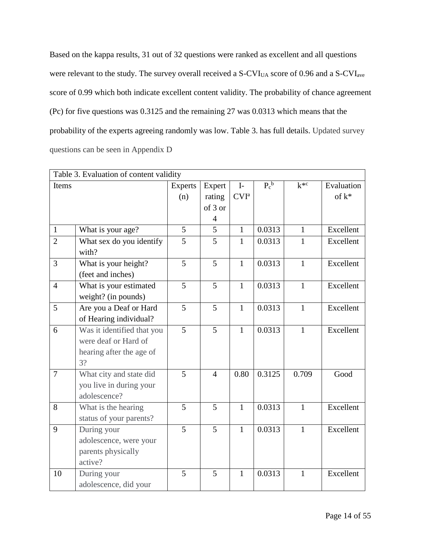Based on the kappa results, 31 out of 32 questions were ranked as excellent and all questions were relevant to the study. The survey overall received a S-CVI<sub>UA</sub> score of 0.96 and a S-CVI<sub>ave</sub> score of 0.99 which both indicate excellent content validity. The probability of chance agreement (Pc) for five questions was 0.3125 and the remaining 27 was 0.0313 which means that the probability of the experts agreeing randomly was low. Table 3. has full details. Updated survey questions can be seen in Appendix D

|                | Table 3. Evaluation of content validity |                |                |                  |         |              |            |
|----------------|-----------------------------------------|----------------|----------------|------------------|---------|--------------|------------|
| Items          |                                         | <b>Experts</b> | Expert         | $I-$             | $P_c^b$ | $k^{*c}$     | Evaluation |
|                |                                         | (n)            | rating         | CVI <sup>a</sup> |         |              | of $k^*$   |
|                |                                         |                | of 3 or        |                  |         |              |            |
|                |                                         |                | 4              |                  |         |              |            |
| $\mathbf{1}$   | What is your age?                       | 5              | 5              | $\mathbf{1}$     | 0.0313  | $\mathbf{1}$ | Excellent  |
| $\overline{2}$ | What sex do you identify                | 5              | 5              | $\mathbf{1}$     | 0.0313  | $\mathbf{1}$ | Excellent  |
|                | with?                                   |                |                |                  |         |              |            |
| $\overline{3}$ | What is your height?                    | $\overline{5}$ | 5              | $\mathbf{1}$     | 0.0313  | $\mathbf{1}$ | Excellent  |
|                | (feet and inches)                       |                |                |                  |         |              |            |
| $\overline{4}$ | What is your estimated                  | 5              | 5              | $\mathbf{1}$     | 0.0313  | $\mathbf{1}$ | Excellent  |
|                | weight? (in pounds)                     |                |                |                  |         |              |            |
| 5              | Are you a Deaf or Hard                  | 5              | 5              | $\mathbf{1}$     | 0.0313  | $\mathbf{1}$ | Excellent  |
|                | of Hearing individual?                  |                |                |                  |         |              |            |
| 6              | Was it identified that you              | $\overline{5}$ | 5              | $\mathbf{1}$     | 0.0313  | $\mathbf{1}$ | Excellent  |
|                | were deaf or Hard of                    |                |                |                  |         |              |            |
|                | hearing after the age of                |                |                |                  |         |              |            |
|                | 3?                                      |                |                |                  |         |              |            |
| $\overline{7}$ | What city and state did                 | 5              | $\overline{4}$ | 0.80             | 0.3125  | 0.709        | Good       |
|                | you live in during your                 |                |                |                  |         |              |            |
|                | adolescence?                            |                |                |                  |         |              |            |
| 8              | What is the hearing                     | 5              | 5              | $\mathbf{1}$     | 0.0313  | $\mathbf{1}$ | Excellent  |
|                | status of your parents?                 |                |                |                  |         |              |            |
| 9              | During your                             | $\overline{5}$ | $\overline{5}$ | $\mathbf{1}$     | 0.0313  | $\mathbf{1}$ | Excellent  |
|                | adolescence, were your                  |                |                |                  |         |              |            |
|                | parents physically                      |                |                |                  |         |              |            |
|                | active?                                 |                |                |                  |         |              |            |
| 10             | During your                             | 5              | 5              | 1                | 0.0313  | $\mathbf{1}$ | Excellent  |
|                | adolescence, did your                   |                |                |                  |         |              |            |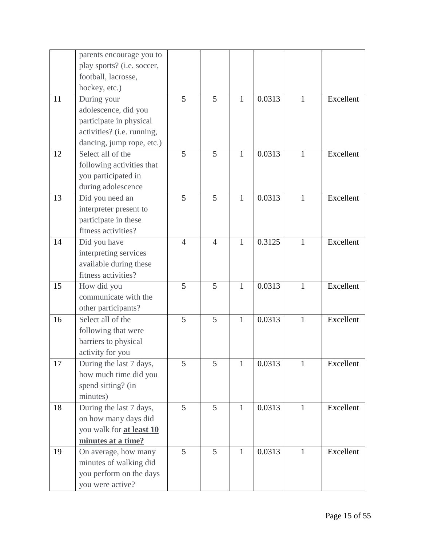|    | parents encourage you to        |                |                |              |        |              |           |
|----|---------------------------------|----------------|----------------|--------------|--------|--------------|-----------|
|    | play sports? (i.e. soccer,      |                |                |              |        |              |           |
|    | football, lacrosse,             |                |                |              |        |              |           |
|    | hockey, etc.)                   |                |                |              |        |              |           |
| 11 | During your                     | 5              | 5              | $\mathbf{1}$ | 0.0313 | $\mathbf{1}$ | Excellent |
|    | adolescence, did you            |                |                |              |        |              |           |
|    | participate in physical         |                |                |              |        |              |           |
|    | activities? (i.e. running,      |                |                |              |        |              |           |
|    | dancing, jump rope, etc.)       |                |                |              |        |              |           |
| 12 | Select all of the               | 5              | 5              | $\mathbf{1}$ | 0.0313 | $\mathbf{1}$ | Excellent |
|    | following activities that       |                |                |              |        |              |           |
|    | you participated in             |                |                |              |        |              |           |
|    | during adolescence              |                |                |              |        |              |           |
| 13 | Did you need an                 | 5              | 5              | $\mathbf{1}$ | 0.0313 | $\mathbf{1}$ | Excellent |
|    | interpreter present to          |                |                |              |        |              |           |
|    | participate in these            |                |                |              |        |              |           |
|    | fitness activities?             |                |                |              |        |              |           |
| 14 | Did you have                    | $\overline{4}$ | $\overline{4}$ | $\mathbf{1}$ | 0.3125 | $\mathbf{1}$ | Excellent |
|    | interpreting services           |                |                |              |        |              |           |
|    | available during these          |                |                |              |        |              |           |
|    | fitness activities?             |                |                |              |        |              |           |
| 15 | How did you                     | 5              | 5              | $\mathbf{1}$ | 0.0313 | $\mathbf{1}$ | Excellent |
|    | communicate with the            |                |                |              |        |              |           |
|    | other participants?             |                |                |              |        |              |           |
| 16 | Select all of the               | 5              | 5              | $\mathbf{1}$ | 0.0313 | $\mathbf{1}$ | Excellent |
|    | following that were             |                |                |              |        |              |           |
|    | barriers to physical            |                |                |              |        |              |           |
|    | activity for you                |                |                |              |        |              |           |
| 17 | During the last 7 days,         | 5              | 5              | 1            | 0.0313 | 1            | Excellent |
|    | how much time did you           |                |                |              |        |              |           |
|    | spend sitting? (in              |                |                |              |        |              |           |
|    | minutes)                        |                |                |              |        |              |           |
| 18 | During the last 7 days,         | $\overline{5}$ | 5              | $\mathbf{1}$ | 0.0313 | $\mathbf{1}$ | Excellent |
|    | on how many days did            |                |                |              |        |              |           |
|    | you walk for <b>at least 10</b> |                |                |              |        |              |           |
|    | minutes at a time?              |                |                |              |        |              |           |
| 19 | On average, how many            | 5              | 5              | $\mathbf{1}$ | 0.0313 | $\mathbf{1}$ | Excellent |
|    | minutes of walking did          |                |                |              |        |              |           |
|    | you perform on the days         |                |                |              |        |              |           |
|    | you were active?                |                |                |              |        |              |           |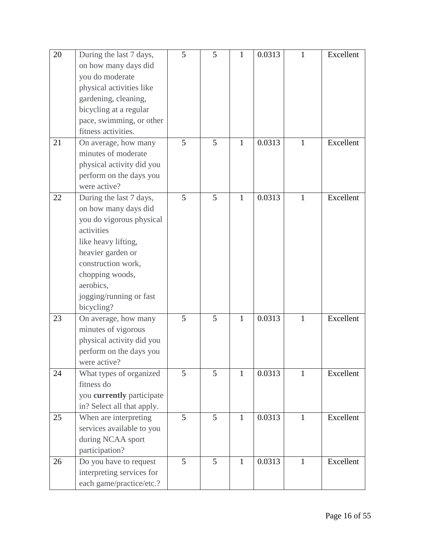| 20<br>21 | During the last 7 days,<br>on how many days did<br>you do moderate<br>physical activities like<br>gardening, cleaning,<br>bicycling at a regular<br>pace, swimming, or other<br>fitness activities.<br>On average, how many<br>minutes of moderate<br>physical activity did you | 5<br>5         | 5<br>5 | 1<br>$\mathbf{1}$ | 0.0313<br>0.0313 | 1<br>$\mathbf{1}$ | Excellent<br>Excellent |
|----------|---------------------------------------------------------------------------------------------------------------------------------------------------------------------------------------------------------------------------------------------------------------------------------|----------------|--------|-------------------|------------------|-------------------|------------------------|
|          | perform on the days you<br>were active?                                                                                                                                                                                                                                         |                |        |                   |                  |                   |                        |
| 22       | During the last 7 days,<br>on how many days did<br>you do vigorous physical<br>activities<br>like heavy lifting,<br>heavier garden or<br>construction work,<br>chopping woods,<br>aerobics,<br>jogging/running or fast<br>bicycling?                                            | 5              | 5      | $\mathbf{1}$      | 0.0313           | $\mathbf{1}$      | Excellent              |
| 23       | On average, how many<br>minutes of vigorous<br>physical activity did you<br>perform on the days you<br>were active?                                                                                                                                                             | 5              | 5      | 1                 | 0.0313           | $\mathbf{1}$      | Excellent              |
| 24       | What types of organized<br>fitness do<br>you currently participate<br>in? Select all that apply.                                                                                                                                                                                | 5              | 5      | 1                 | 0.0313           | 1                 | Excellent              |
| 25       | When are interpreting<br>services available to you<br>during NCAA sport<br>participation?                                                                                                                                                                                       | $\overline{5}$ | 5      | $\mathbf{1}$      | 0.0313           | $\mathbf{1}$      | Excellent              |
| 26       | Do you have to request<br>interpreting services for<br>each game/practice/etc.?                                                                                                                                                                                                 | 5              | 5      | 1                 | 0.0313           | $\mathbf{1}$      | Excellent              |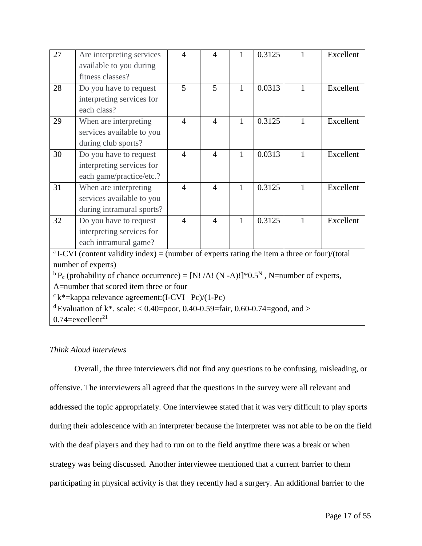| $\overline{27}$ | Are interpreting services<br>available to you during                                                                      | $\overline{4}$ | $\overline{4}$ | $\mathbf{1}$ | 0.3125 | 1            | Excellent |
|-----------------|---------------------------------------------------------------------------------------------------------------------------|----------------|----------------|--------------|--------|--------------|-----------|
|                 | fitness classes?                                                                                                          |                |                |              |        |              |           |
| 28              | Do you have to request                                                                                                    | 5              | 5              | $\mathbf{1}$ | 0.0313 | $\mathbf{1}$ | Excellent |
|                 | interpreting services for<br>each class?                                                                                  |                |                |              |        |              |           |
| 29              | When are interpreting                                                                                                     | $\overline{4}$ | $\overline{4}$ | 1            | 0.3125 | $\mathbf{1}$ | Excellent |
|                 | services available to you<br>during club sports?                                                                          |                |                |              |        |              |           |
| 30              | Do you have to request                                                                                                    | $\overline{4}$ | $\overline{4}$ | 1            | 0.0313 | $\mathbf{1}$ | Excellent |
|                 | interpreting services for                                                                                                 |                |                |              |        |              |           |
|                 | each game/practice/etc.?                                                                                                  |                |                |              |        |              |           |
| 31              | When are interpreting                                                                                                     | $\overline{4}$ | $\overline{4}$ | $\mathbf{1}$ | 0.3125 | $\mathbf{1}$ | Excellent |
|                 | services available to you                                                                                                 |                |                |              |        |              |           |
|                 | during intramural sports?                                                                                                 |                |                |              |        |              |           |
| 32              | Do you have to request                                                                                                    | $\overline{4}$ | $\overline{4}$ | $\mathbf{1}$ | 0.3125 | $\mathbf{1}$ | Excellent |
|                 | interpreting services for                                                                                                 |                |                |              |        |              |           |
|                 | each intramural game?                                                                                                     |                |                |              |        |              |           |
|                 | <sup>a</sup> I-CVI (content validity index) = (number of experts rating the item a three or four)/(total                  |                |                |              |        |              |           |
|                 | number of experts)                                                                                                        |                |                |              |        |              |           |
|                 | <sup>b</sup> P <sub>c</sub> (probability of chance occurrence) = [N! /A! (N -A)!]*0.5 <sup>N</sup> , N=number of experts, |                |                |              |        |              |           |
|                 | A=number that scored item three or four                                                                                   |                |                |              |        |              |           |
|                 | $c^k$ k*=kappa relevance agreement: (I-CVI -Pc)/(1-Pc)                                                                    |                |                |              |        |              |           |
|                 | <sup>d</sup> Evaluation of k <sup>*</sup> . scale: < 0.40=poor, 0.40-0.59=fair, 0.60-0.74=good, and >                     |                |                |              |        |              |           |
|                 | $0.74$ =excellent <sup>21</sup>                                                                                           |                |                |              |        |              |           |

## *Think Aloud interviews*

Overall, the three interviewers did not find any questions to be confusing, misleading, or offensive. The interviewers all agreed that the questions in the survey were all relevant and addressed the topic appropriately. One interviewee stated that it was very difficult to play sports during their adolescence with an interpreter because the interpreter was not able to be on the field with the deaf players and they had to run on to the field anytime there was a break or when strategy was being discussed. Another interviewee mentioned that a current barrier to them participating in physical activity is that they recently had a surgery. An additional barrier to the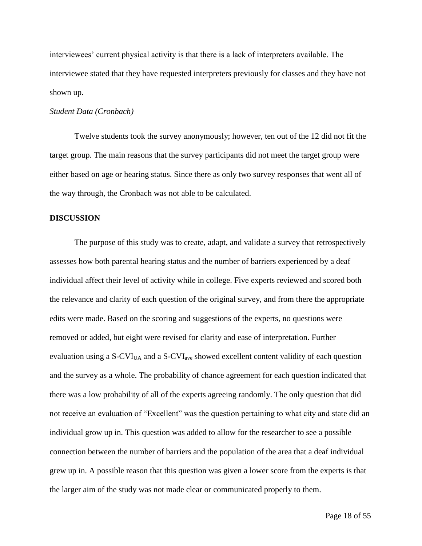interviewees' current physical activity is that there is a lack of interpreters available. The interviewee stated that they have requested interpreters previously for classes and they have not shown up.

### *Student Data (Cronbach)*

Twelve students took the survey anonymously; however, ten out of the 12 did not fit the target group. The main reasons that the survey participants did not meet the target group were either based on age or hearing status. Since there as only two survey responses that went all of the way through, the Cronbach was not able to be calculated.

#### **DISCUSSION**

The purpose of this study was to create, adapt, and validate a survey that retrospectively assesses how both parental hearing status and the number of barriers experienced by a deaf individual affect their level of activity while in college. Five experts reviewed and scored both the relevance and clarity of each question of the original survey, and from there the appropriate edits were made. Based on the scoring and suggestions of the experts, no questions were removed or added, but eight were revised for clarity and ease of interpretation. Further evaluation using a  $S-CVI<sub>UA</sub>$  and a  $S-CVI<sub>ave</sub>$  showed excellent content validity of each question and the survey as a whole. The probability of chance agreement for each question indicated that there was a low probability of all of the experts agreeing randomly. The only question that did not receive an evaluation of "Excellent" was the question pertaining to what city and state did an individual grow up in. This question was added to allow for the researcher to see a possible connection between the number of barriers and the population of the area that a deaf individual grew up in. A possible reason that this question was given a lower score from the experts is that the larger aim of the study was not made clear or communicated properly to them.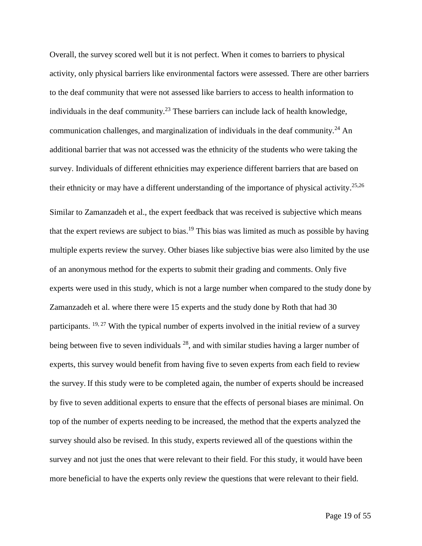Overall, the survey scored well but it is not perfect. When it comes to barriers to physical activity, only physical barriers like environmental factors were assessed. There are other barriers to the deaf community that were not assessed like barriers to access to health information to individuals in the deaf community.<sup>23</sup> These barriers can include lack of health knowledge, communication challenges, and marginalization of individuals in the deaf community.<sup>24</sup> An additional barrier that was not accessed was the ethnicity of the students who were taking the survey. Individuals of different ethnicities may experience different barriers that are based on their ethnicity or may have a different understanding of the importance of physical activity.<sup>25,26</sup>

Similar to Zamanzadeh et al., the expert feedback that was received is subjective which means that the expert reviews are subject to bias.<sup>19</sup> This bias was limited as much as possible by having multiple experts review the survey. Other biases like subjective bias were also limited by the use of an anonymous method for the experts to submit their grading and comments. Only five experts were used in this study, which is not a large number when compared to the study done by Zamanzadeh et al. where there were 15 experts and the study done by Roth that had 30 participants.  $19, 27$  With the typical number of experts involved in the initial review of a survey being between five to seven individuals  $28$ , and with similar studies having a larger number of experts, this survey would benefit from having five to seven experts from each field to review the survey. If this study were to be completed again, the number of experts should be increased by five to seven additional experts to ensure that the effects of personal biases are minimal. On top of the number of experts needing to be increased, the method that the experts analyzed the survey should also be revised. In this study, experts reviewed all of the questions within the survey and not just the ones that were relevant to their field. For this study, it would have been more beneficial to have the experts only review the questions that were relevant to their field.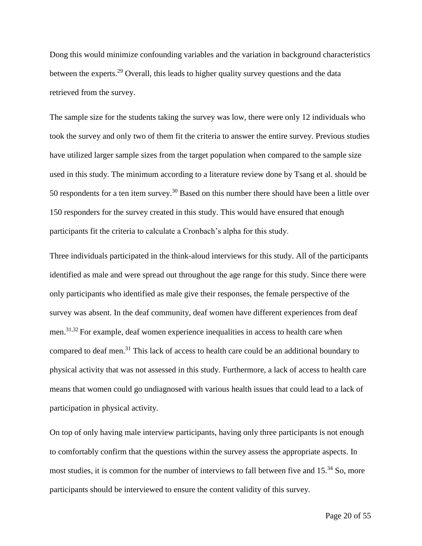Dong this would minimize confounding variables and the variation in background characteristics between the experts.<sup>29</sup> Overall, this leads to higher quality survey questions and the data retrieved from the survey.

The sample size for the students taking the survey was low, there were only 12 individuals who took the survey and only two of them fit the criteria to answer the entire survey. Previous studies have utilized larger sample sizes from the target population when compared to the sample size used in this study. The minimum according to a literature review done by Tsang et al. should be 50 respondents for a ten item survey.<sup>30</sup> Based on this number there should have been a little over 150 responders for the survey created in this study. This would have ensured that enough participants fit the criteria to calculate a Cronbach's alpha for this study.

Three individuals participated in the think-aloud interviews for this study. All of the participants identified as male and were spread out throughout the age range for this study. Since there were only participants who identified as male give their responses, the female perspective of the survey was absent. In the deaf community, deaf women have different experiences from deaf men.<sup>31,32</sup> For example, deaf women experience inequalities in access to health care when compared to deaf men.<sup>31</sup> This lack of access to health care could be an additional boundary to physical activity that was not assessed in this study. Furthermore, a lack of access to health care means that women could go undiagnosed with various health issues that could lead to a lack of participation in physical activity.

On top of only having male interview participants, having only three participants is not enough to comfortably confirm that the questions within the survey assess the appropriate aspects. In most studies, it is common for the number of interviews to fall between five and 15.<sup>34</sup> So, more participants should be interviewed to ensure the content validity of this survey.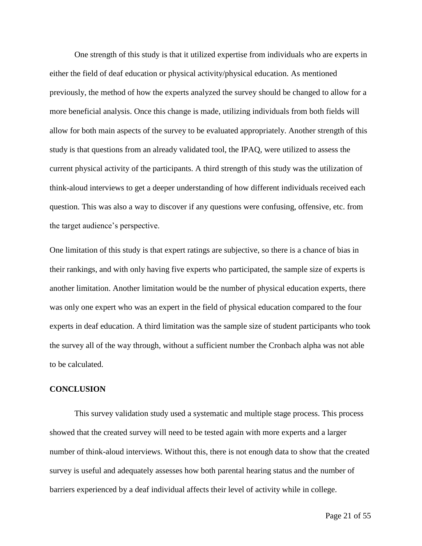One strength of this study is that it utilized expertise from individuals who are experts in either the field of deaf education or physical activity/physical education. As mentioned previously, the method of how the experts analyzed the survey should be changed to allow for a more beneficial analysis. Once this change is made, utilizing individuals from both fields will allow for both main aspects of the survey to be evaluated appropriately. Another strength of this study is that questions from an already validated tool, the IPAQ, were utilized to assess the current physical activity of the participants. A third strength of this study was the utilization of think-aloud interviews to get a deeper understanding of how different individuals received each question. This was also a way to discover if any questions were confusing, offensive, etc. from the target audience's perspective.

One limitation of this study is that expert ratings are subjective, so there is a chance of bias in their rankings, and with only having five experts who participated, the sample size of experts is another limitation. Another limitation would be the number of physical education experts, there was only one expert who was an expert in the field of physical education compared to the four experts in deaf education. A third limitation was the sample size of student participants who took the survey all of the way through, without a sufficient number the Cronbach alpha was not able to be calculated.

#### **CONCLUSION**

This survey validation study used a systematic and multiple stage process. This process showed that the created survey will need to be tested again with more experts and a larger number of think-aloud interviews. Without this, there is not enough data to show that the created survey is useful and adequately assesses how both parental hearing status and the number of barriers experienced by a deaf individual affects their level of activity while in college.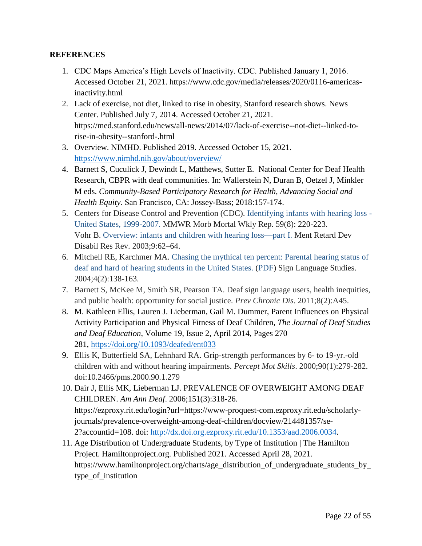## **REFERENCES**

- 1. CDC Maps America's High Levels of Inactivity. CDC. Published January 1, 2016. Accessed October 21, 2021. https://www.cdc.gov/media/releases/2020/0116-americasinactivity.html
- 2. Lack of exercise, not diet, linked to rise in obesity, Stanford research shows. News Center. Published July 7, 2014. Accessed October 21, 2021. https://med.stanford.edu/news/all-news/2014/07/lack-of-exercise--not-diet--linked-torise-in-obesity--stanford-.html
- 3. Overview. NIMHD. Published 2019. Accessed October 15, 2021. <https://www.nimhd.nih.gov/about/overview/>
- 4. Barnett S, Cuculick J, Dewindt L, Matthews, Sutter E. National Center for Deaf Health Research, CBPR with deaf communities. In: Wallerstein N, Duran B, Oetzel J, Minkler M eds. *Community-Based Participatory Research for Health, Advancing Social and Health Equity.* San Francisco, CA: Jossey-Bass; 2018:157-174.
- 5. Centers for Disease Control and Prevention (CDC). [Identifying infants with hearing loss -](https://www.cdc.gov/mmwr/preview/mmwrhtml/mm5908a2.htm) [United States, 1999-2007.](https://www.cdc.gov/mmwr/preview/mmwrhtml/mm5908a2.htm) MMWR Morb Mortal Wkly Rep. 59(8): 220-223. Vohr B. [Overview: infants and children with hearing loss—part I.](https://www.ncbi.nlm.nih.gov/pubmed/12784222) Ment Retard Dev Disabil Res Rev. 2003;9:62–64.
- 6. Mitchell RE, Karchmer MA. [Chasing the mythical ten percent: Parental hearing status of](https://research.gallaudet.edu/Demographics/SLS_Paper.pdf)  [deaf and hard of hearing students in the United States.](https://research.gallaudet.edu/Demographics/SLS_Paper.pdf) [\(PDF\)](https://www.nidcd.nih.gov/health/statistics/quick-statistics-hearing#pdf) Sign Language Studies. 2004;4(2):138-163.
- 7. Barnett S, McKee M, Smith SR, Pearson TA. Deaf sign language users, health inequities, and public health: opportunity for social justice. *Prev Chronic Dis*. 2011;8(2):A45.
- 8. M. Kathleen Ellis, Lauren J. Lieberman, Gail M. Dummer, Parent Influences on Physical Activity Participation and Physical Fitness of Deaf Children, *The Journal of Deaf Studies and Deaf Education*, Volume 19, Issue 2, April 2014, Pages 270– 281, <https://doi.org/10.1093/deafed/ent033>
- 9. Ellis K, Butterfield SA, Lehnhard RA. Grip-strength performances by 6- to 19-yr.-old children with and without hearing impairments. *Percept Mot Skills*. 2000;90(1):279-282. doi:10.2466/pms.2000.90.1.279
- 10. Dair J, Ellis MK, Lieberman LJ. PREVALENCE OF OVERWEIGHT AMONG DEAF CHILDREN. *Am Ann Deaf*. 2006;151(3):318-26. https://ezproxy.rit.edu/login?url=https://www-proquest-com.ezproxy.rit.edu/scholarlyjournals/prevalence-overweight-among-deaf-children/docview/214481357/se-2?accountid=108. doi: [http://dx.doi.org.ezproxy.rit.edu/10.1353/aad.2006.0034.](http://dx.doi.org.ezproxy.rit.edu/10.1353/aad.2006.0034)
- 11. Age Distribution of Undergraduate Students, by Type of Institution | The Hamilton Project. Hamiltonproject.org. Published 2021. Accessed April 28, 2021. https://www.hamiltonproject.org/charts/age\_distribution\_of\_undergraduate\_students\_by\_ type\_of\_institution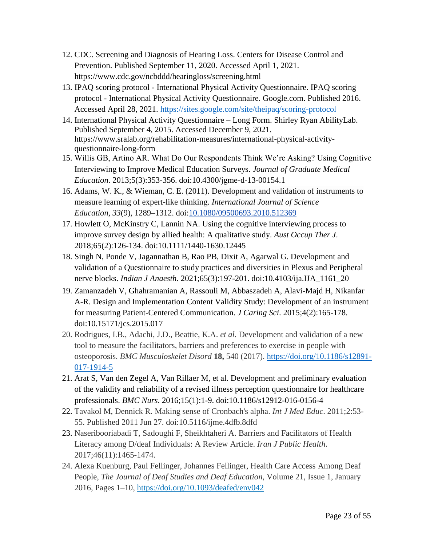- 12. CDC. Screening and Diagnosis of Hearing Loss. Centers for Disease Control and Prevention. Published September 11, 2020. Accessed April 1, 2021. https://www.cdc.gov/ncbddd/hearingloss/screening.html
- 13. IPAQ scoring protocol International Physical Activity Questionnaire. IPAQ scoring protocol - International Physical Activity Questionnaire. Google.com. Published 2016. Accessed April 28, 2021.<https://sites.google.com/site/theipaq/scoring-protocol>
- 14. International Physical Activity Questionnaire Long Form. Shirley Ryan AbilityLab. Published September 4, 2015. Accessed December 9, 2021. https://www.sralab.org/rehabilitation-measures/international-physical-activityquestionnaire-long-form
- 15. Willis GB, Artino AR. What Do Our Respondents Think We're Asking? Using Cognitive Interviewing to Improve Medical Education Surveys. *Journal of Graduate Medical Education*. 2013;5(3):353-356. doi:10.4300/jgme-d-13-00154.1
- 16. Adams, W. K., & Wieman, C. E. (2011). Development and validation of instruments to measure learning of expert-like thinking. *International Journal of Science Education*, *33*(9), 1289–1312. doi[:10.1080/09500693.2010.512369](https://doi.org/10.1080/09500693.2010.512369)
- 17. Howlett O, McKinstry C, Lannin NA. Using the cognitive interviewing process to improve survey design by allied health: A qualitative study. *Aust Occup Ther J*. 2018;65(2):126-134. doi:10.1111/1440-1630.12445
- 18. Singh N, Ponde V, Jagannathan B, Rao PB, Dixit A, Agarwal G. Development and validation of a Questionnaire to study practices and diversities in Plexus and Peripheral nerve blocks. *Indian J Anaesth*. 2021;65(3):197-201. doi:10.4103/ija.IJA\_1161\_20
- 19. Zamanzadeh V, Ghahramanian A, Rassouli M, Abbaszadeh A, Alavi-Majd H, Nikanfar A-R. Design and Implementation Content Validity Study: Development of an instrument for measuring Patient-Centered Communication. *J Caring Sci*. 2015;4(2):165-178. doi:10.15171/jcs.2015.017
- 20. Rodrigues, I.B., Adachi, J.D., Beattie, K.A. *et al.* Development and validation of a new tool to measure the facilitators, barriers and preferences to exercise in people with osteoporosis. *BMC Musculoskelet Disord* **18,** 540 (2017). [https://doi.org/10.1186/s12891-](https://doi.org/10.1186/s12891-017-1914-5) [017-1914-5](https://doi.org/10.1186/s12891-017-1914-5)
- 21. Arat S, Van den Zegel A, Van Rillaer M, et al. Development and preliminary evaluation of the validity and reliability of a revised illness perception questionnaire for healthcare professionals. *BMC Nurs*. 2016;15(1):1-9. doi:10.1186/s12912-016-0156-4
- 22. Tavakol M, Dennick R. Making sense of Cronbach's alpha. *Int J Med Educ*. 2011;2:53- 55. Published 2011 Jun 27. doi:10.5116/ijme.4dfb.8dfd
- 23. Naseribooriabadi T, Sadoughi F, Sheikhtaheri A. Barriers and Facilitators of Health Literacy among D/deaf Individuals: A Review Article. *Iran J Public Health*. 2017;46(11):1465-1474.
- 24. Alexa Kuenburg, Paul Fellinger, Johannes Fellinger, Health Care Access Among Deaf People, *The Journal of Deaf Studies and Deaf Education*, Volume 21, Issue 1, January 2016, Pages 1–10, <https://doi.org/10.1093/deafed/env042>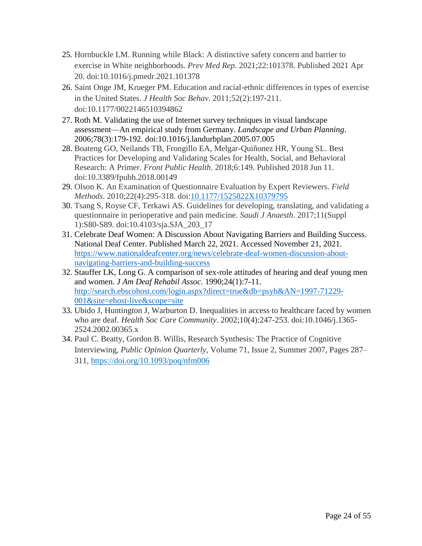- 25. Hornbuckle LM. Running while Black: A distinctive safety concern and barrier to exercise in White neighborhoods. *Prev Med Rep*. 2021;22:101378. Published 2021 Apr 20. doi:10.1016/j.pmedr.2021.101378
- 26. Saint Onge JM, Krueger PM. Education and racial-ethnic differences in types of exercise in the United States. *J Health Soc Behav*. 2011;52(2):197-211. doi:10.1177/0022146510394862
- 27. Roth M. Validating the use of Internet survey techniques in visual landscape assessment—An empirical study from Germany. *Landscape and Urban Planning*. 2006;78(3):179-192. doi:10.1016/j.landurbplan.2005.07.005
- 28. Boateng GO, Neilands TB, Frongillo EA, Melgar-Quiñonez HR, Young SL. Best Practices for Developing and Validating Scales for Health, Social, and Behavioral Research: A Primer. *Front Public Health*. 2018;6:149. Published 2018 Jun 11. doi:10.3389/fpubh.2018.00149
- 29. Olson K. An Examination of Questionnaire Evaluation by Expert Reviewers. *Field Methods*. 2010;22(4):295-318. doi[:10.1177/1525822X10379795](https://doi.org/10.1177/1525822X10379795)
- 30. Tsang S, Royse CF, Terkawi AS. Guidelines for developing, translating, and validating a questionnaire in perioperative and pain medicine. *Saudi J Anaesth*. 2017;11(Suppl 1):S80-S89. doi:10.4103/sja.SJA\_203\_17
- 31. Celebrate Deaf Women: A Discussion About Navigating Barriers and Building Success. National Deaf Center. Published March 22, 2021. Accessed November 21, 2021. [https://www.nationaldeafcenter.org/news/celebrate-deaf-women-discussion-about](https://www.nationaldeafcenter.org/news/celebrate-deaf-women-discussion-about-navigating-barriers-and-building-success)[navigating-barriers-and-building-success](https://www.nationaldeafcenter.org/news/celebrate-deaf-women-discussion-about-navigating-barriers-and-building-success)
- 32. Stauffer LK, Long G. A comparison of sex-role attitudes of hearing and deaf young men and women. *J Am Deaf Rehabil Assoc*. 1990;24(1):7-11. [http://search.ebscohost.com/login.aspx?direct=true&db=psyh&AN=1997-71229-](http://search.ebscohost.com/login.aspx?direct=true&db=psyh&AN=1997-71229-001&site=ehost-live&scope=site) [001&site=ehost-live&scope=site](http://search.ebscohost.com/login.aspx?direct=true&db=psyh&AN=1997-71229-001&site=ehost-live&scope=site)
- 33. Ubido J, Huntington J, Warburton D. Inequalities in access to healthcare faced by women who are deaf. *Health Soc Care Community*. 2002;10(4):247-253. doi:10.1046/j.1365- 2524.2002.00365.x
- 34. Paul C. Beatty, Gordon B. Willis, Research Synthesis: The Practice of Cognitive Interviewing, *Public Opinion Quarterly*, Volume 71, Issue 2, Summer 2007, Pages 287– 311, <https://doi.org/10.1093/poq/nfm006>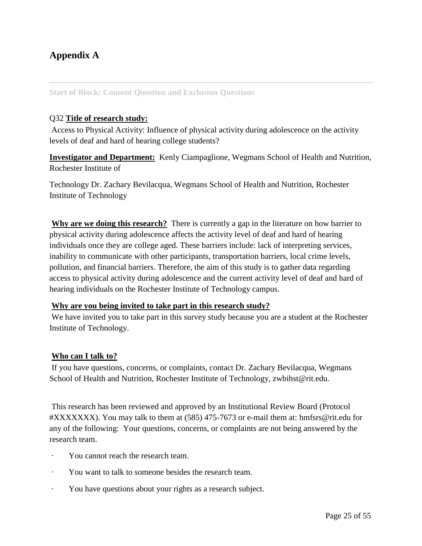## **Appendix A**

## **Start of Block: Consent Question and Exclusion Questions**

## Q32 **Title of research study:**

Access to Physical Activity: Influence of physical activity during adolescence on the activity levels of deaf and hard of hearing college students?

**Investigator and Department:** Kenly Ciampaglione, Wegmans School of Health and Nutrition, Rochester Institute of

Technology Dr. Zachary Bevilacqua, Wegmans School of Health and Nutrition, Rochester Institute of Technology

Why are we doing this research? There is currently a gap in the literature on how barrier to physical activity during adolescence affects the activity level of deaf and hard of hearing individuals once they are college aged. These barriers include: lack of interpreting services, inability to communicate with other participants, transportation barriers, local crime levels, pollution, and financial barriers. Therefore, the aim of this study is to gather data regarding access to physical activity during adolescence and the current activity level of deaf and hard of hearing individuals on the Rochester Institute of Technology campus.

## **Why are you being invited to take part in this research study?**

We have invited you to take part in this survey study because you are a student at the Rochester Institute of Technology.

## **Who can I talk to?**

If you have questions, concerns, or complaints, contact Dr. Zachary Bevilacqua, Wegmans School of Health and Nutrition, Rochester Institute of Technology, zwbihst@rit.edu.

This research has been reviewed and approved by an Institutional Review Board (Protocol #XXXXXXX). You may talk to them at (585) 475-7673 or e-mail them at: hmfsrs@rit.edu for any of the following: Your questions, concerns, or complaints are not being answered by the research team.

- You cannot reach the research team.
- · You want to talk to someone besides the research team.
- · You have questions about your rights as a research subject.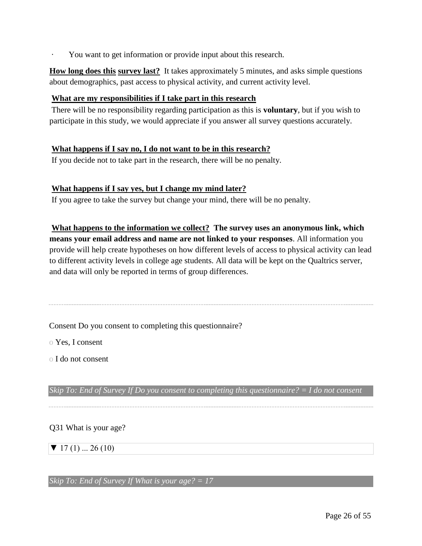You want to get information or provide input about this research.

**How long does this survey last?** It takes approximately 5 minutes, and asks simple questions about demographics, past access to physical activity, and current activity level.

## **What are my responsibilities if I take part in this research**

There will be no responsibility regarding participation as this is **voluntary**, but if you wish to participate in this study, we would appreciate if you answer all survey questions accurately.

## **What happens if I say no, I do not want to be in this research?**

If you decide not to take part in the research, there will be no penalty.

## **What happens if I say yes, but I change my mind later?**

If you agree to take the survey but change your mind, there will be no penalty.

**What happens to the information we collect? The survey uses an anonymous link, which means your email address and name are not linked to your responses**. All information you provide will help create hypotheses on how different levels of access to physical activity can lead to different activity levels in college age students. All data will be kept on the Qualtrics server, and data will only be reported in terms of group differences.

Consent Do you consent to completing this questionnaire?

o Yes, I consent

o I do not consent

*Skip To: End of Survey If Do you consent to completing this questionnaire? = I do not consent* 

## Q31 What is your age?

 $\blacktriangledown$  17 (1) ... 26 (10)

*Skip To: End of Survey If What is your age? = 17*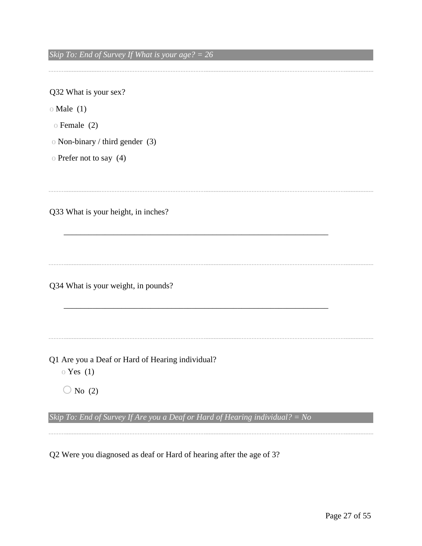*Skip To: End of Survey If What is your age? = 26* 

Q32 What is your sex? o Male (1) o Female (2) o Non-binary / third gender (3) o Prefer not to say (4) Q33 What is your height, in inches? \_\_\_\_\_\_\_\_\_\_\_\_\_\_\_\_\_\_\_\_\_\_\_\_\_\_\_\_\_\_\_\_\_\_\_\_\_\_\_\_\_\_\_\_\_\_\_\_\_\_\_\_\_\_\_\_\_\_\_\_\_\_\_\_ Q34 What is your weight, in pounds? \_\_\_\_\_\_\_\_\_\_\_\_\_\_\_\_\_\_\_\_\_\_\_\_\_\_\_\_\_\_\_\_\_\_\_\_\_\_\_\_\_\_\_\_\_\_\_\_\_\_\_\_\_\_\_\_\_\_\_\_\_\_\_\_ Q1 Are you a Deaf or Hard of Hearing individual? o Yes (1)  $\bigcirc$  No (2) *Skip To: End of Survey If Are you a Deaf or Hard of Hearing individual? = No* 

Q2 Were you diagnosed as deaf or Hard of hearing after the age of 3?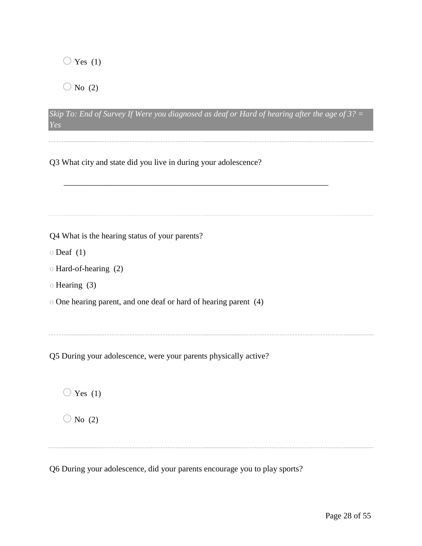$\bigcirc$  Yes (1)

 $\bigcirc$  No (2)

|     | Skip To: End of Survey If Were you diagnosed as deaf or Hard of hearing after the age of $3$ ? = |  |  |  |  |
|-----|--------------------------------------------------------------------------------------------------|--|--|--|--|
| Yes |                                                                                                  |  |  |  |  |

Q3 What city and state did you live in during your adolescence?

| Q4 What is the hearing status of your parents?                   |
|------------------------------------------------------------------|
| $\circ$ Deaf $(1)$                                               |
| o Hard-of-hearing (2)                                            |
| o Hearing (3)                                                    |
| o One hearing parent, and one deaf or hard of hearing parent (4) |
|                                                                  |
|                                                                  |
|                                                                  |
| Q5 During your adolescence, were your parents physically active? |
|                                                                  |
|                                                                  |
| Yes $(1)$                                                        |
| No $(2)$                                                         |
|                                                                  |
|                                                                  |

Q6 During your adolescence, did your parents encourage you to play sports?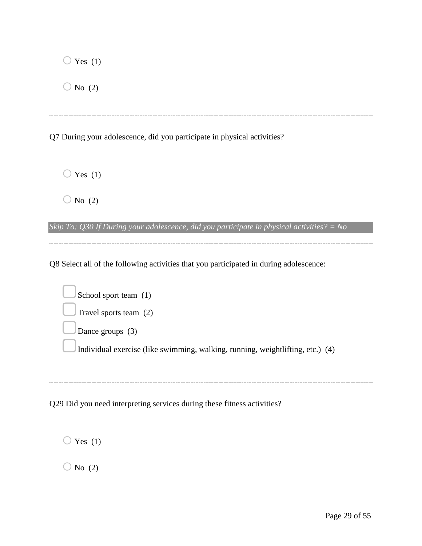| Yes $(1)$                                                               |
|-------------------------------------------------------------------------|
| No $(2)$                                                                |
|                                                                         |
| Q7 During your adolescence, did you participate in physical activities? |
|                                                                         |
| $\bigcirc$ Yes (1)                                                      |
| No (2)                                                                  |

*Skip To: Q30 If During your adolescence, did you participate in physical activities? = No* 

Q8 Select all of the following activities that you participated in during adolescence:

| School sport team (1)                                                          |
|--------------------------------------------------------------------------------|
| Travel sports team $(2)$                                                       |
| Dance groups $(3)$                                                             |
| Individual exercise (like swimming, walking, running, weightlifting, etc.) (4) |
|                                                                                |

Q29 Did you need interpreting services during these fitness activities?

 $\bigcirc$  Yes (1)  $\bigcirc$  No (2)

-------------------------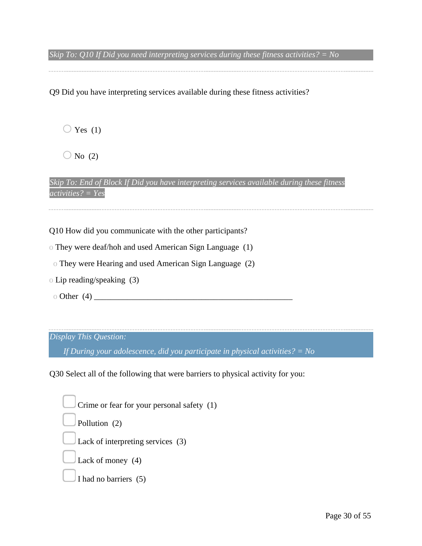*Skip To: Q10 If Did you need interpreting services during these fitness activities? = No* 

Q9 Did you have interpreting services available during these fitness activities?

 $\bigcirc$  Yes (1)

 $\bigcirc$  No (2)

*Skip To: End of Block If Did you have interpreting services available during these fitness activities? = Yes* 

Q10 How did you communicate with the other participants?

o They were deaf/hoh and used American Sign Language (1)

o They were Hearing and used American Sign Language (2)

- o Lip reading/speaking (3)
- o Other (4) \_\_\_\_\_\_\_\_\_\_\_\_\_\_\_\_\_\_\_\_\_\_\_\_\_\_\_\_\_\_\_\_\_\_\_\_\_\_\_\_\_\_\_\_\_\_\_\_

## *Display This Question:*

*If During your adolescence, did you participate in physical activities? = No* 

Q30 Select all of the following that were barriers to physical activity for you:

Crime or fear for your personal safety (1) Pollution (2) Lack of interpreting services (3) Lack of money (4) I had no barriers (5)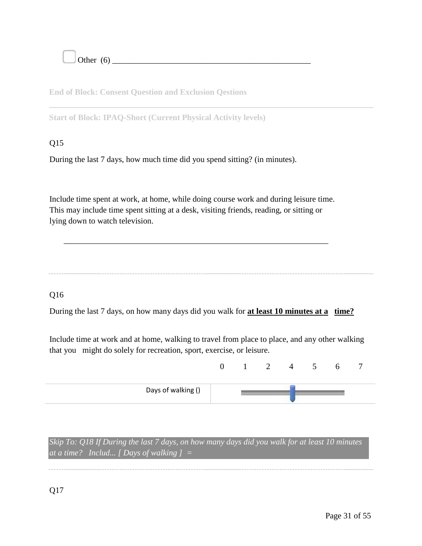Other (6) \_\_\_\_\_\_\_\_\_\_\_\_\_\_\_\_\_\_\_\_\_\_\_\_\_\_\_\_\_\_\_\_\_\_\_\_\_\_\_\_\_\_\_\_\_\_\_\_

**End of Block: Consent Question and Exclusion Qestions** 

**Start of Block: IPAQ-Short (Current Physical Activity levels)** 

## Q15

During the last 7 days, how much time did you spend sitting? (in minutes).

Include time spent at work, at home, while doing course work and during leisure time. This may include time spent sitting at a desk, visiting friends, reading, or sitting or lying down to watch television.

\_\_\_\_\_\_\_\_\_\_\_\_\_\_\_\_\_\_\_\_\_\_\_\_\_\_\_\_\_\_\_\_\_\_\_\_\_\_\_\_\_\_\_\_\_\_\_\_\_\_\_\_\_\_\_\_\_\_\_\_\_\_\_\_

## Q16

During the last 7 days, on how many days did you walk for **at least 10 minutes at a time?**

Include time at work and at home, walking to travel from place to place, and any other walking that you might do solely for recreation, sport, exercise, or leisure.

| Days of walking () |  |  |  |  |
|--------------------|--|--|--|--|

*Skip To: Q18 If During the last 7 days, on how many days did you walk for at least 10 minutes at a time? Includ... [ Days of walking ] =*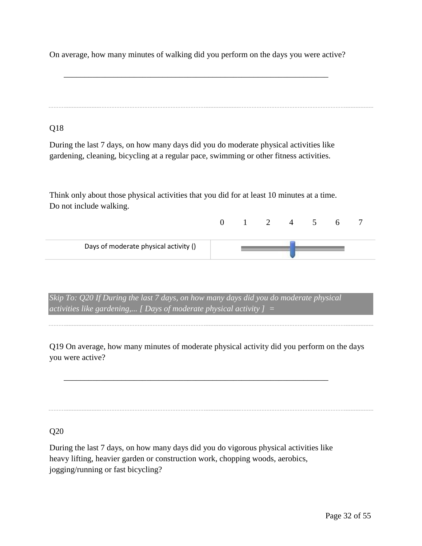On average, how many minutes of walking did you perform on the days you were active?

\_\_\_\_\_\_\_\_\_\_\_\_\_\_\_\_\_\_\_\_\_\_\_\_\_\_\_\_\_\_\_\_\_\_\_\_\_\_\_\_\_\_\_\_\_\_\_\_\_\_\_\_\_\_\_\_\_\_\_\_\_\_\_\_

Q18

During the last 7 days, on how many days did you do moderate physical activities like gardening, cleaning, bicycling at a regular pace, swimming or other fitness activities.

Think only about those physical activities that you did for at least 10 minutes at a time. Do not include walking.

| Days of moderate physical activity () |  |  |  |  |
|---------------------------------------|--|--|--|--|

*Skip To: Q20 If During the last 7 days, on how many days did you do moderate physical activities like gardening,... [ Days of moderate physical activity ] =* 

Q19 On average, how many minutes of moderate physical activity did you perform on the days you were active?

\_\_\_\_\_\_\_\_\_\_\_\_\_\_\_\_\_\_\_\_\_\_\_\_\_\_\_\_\_\_\_\_\_\_\_\_\_\_\_\_\_\_\_\_\_\_\_\_\_\_\_\_\_\_\_\_\_\_\_\_\_\_\_\_

Q20

During the last 7 days, on how many days did you do vigorous physical activities like heavy lifting, heavier garden or construction work, chopping woods, aerobics, jogging/running or fast bicycling?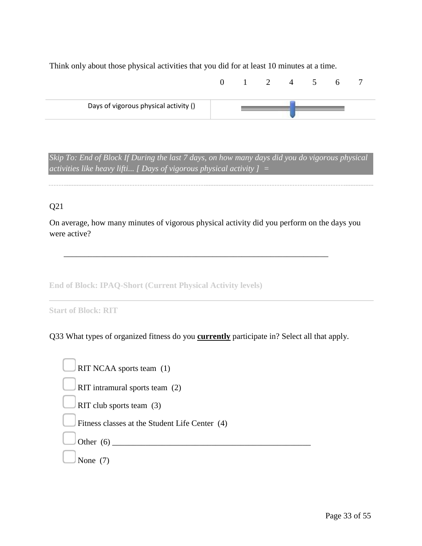Think only about those physical activities that you did for at least 10 minutes at a time.



*Skip To: End of Block If During the last 7 days, on how many days did you do vigorous physical activities like heavy lifti... [ Days of vigorous physical activity ] =* 

## Q21

On average, how many minutes of vigorous physical activity did you perform on the days you were active?

\_\_\_\_\_\_\_\_\_\_\_\_\_\_\_\_\_\_\_\_\_\_\_\_\_\_\_\_\_\_\_\_\_\_\_\_\_\_\_\_\_\_\_\_\_\_\_\_\_\_\_\_\_\_\_\_\_\_\_\_\_\_\_\_

**End of Block: IPAQ-Short (Current Physical Activity levels)** 

Q33 What types of organized fitness do you **currently** participate in? Select all that apply.

| RIT NCAA sports team (1)                       |
|------------------------------------------------|
| RIT intramural sports team (2)                 |
| RIT club sports team $(3)$                     |
| Fitness classes at the Student Life Center (4) |
| Other $(6)$                                    |
| None                                           |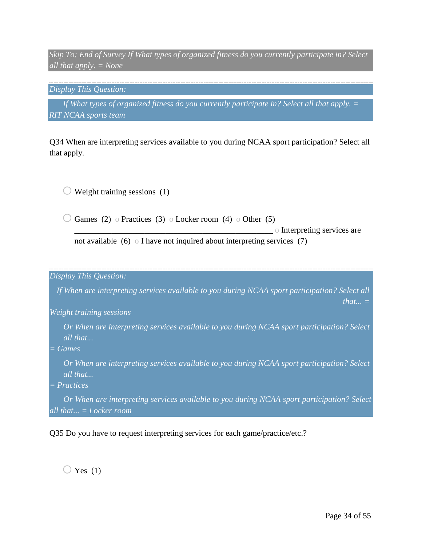*Skip To: End of Survey If What types of organized fitness do you currently participate in? Select all that apply. = None* 

*Display This Question:* 

If What types of organized fitness do you currently participate in? Select all that apply. = *RIT NCAA sports team* 

Q34 When are interpreting services available to you during NCAA sport participation? Select all that apply.

 $\bigcirc$  Weight training sessions (1)

 $\bigcirc$  Games (2) o Practices (3) o Locker room (4) o Other (5)  $\circ$  Interpreting services are not available (6) o I have not inquired about interpreting services (7)

*Display This Question:* 

*If When are interpreting services available to you during NCAA sport participation? Select all that... =* 

*Weight training sessions* 

*Or When are interpreting services available to you during NCAA sport participation? Select all that...* 

*= Games* 

*Or When are interpreting services available to you during NCAA sport participation? Select all that...* 

*= Practices* 

*Or When are interpreting services available to you during NCAA sport participation? Select all that... = Locker room* 

Q35 Do you have to request interpreting services for each game/practice/etc.?

 $\bigcirc$  Yes (1)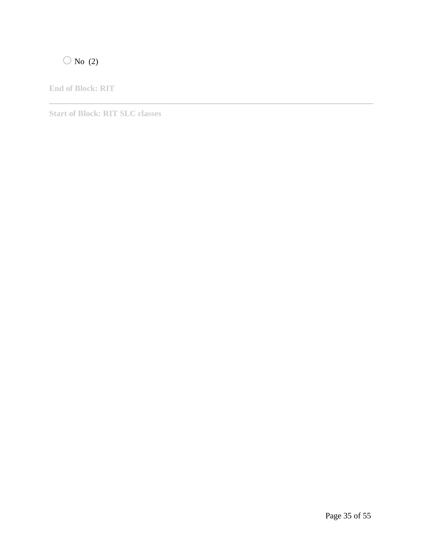# $\bigcirc$  No (2)

**End of Block: RIT** 

**Start of Block: RIT SLC classes**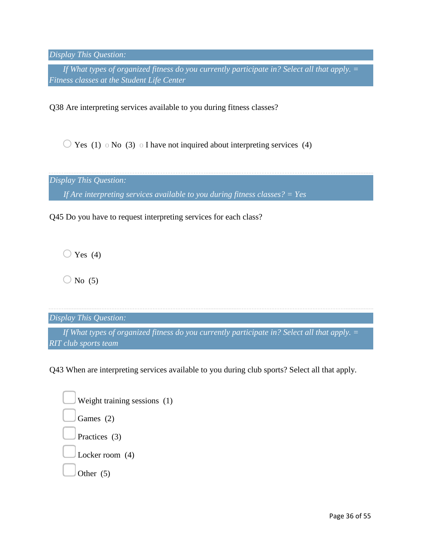*Display This Question:* 

*If What types of organized fitness do you currently participate in? Select all that apply.* = *Fitness classes at the Student Life Center* 

Q38 Are interpreting services available to you during fitness classes?

 $\overline{O}$  Yes (1)  $\circ$  No (3)  $\circ$  I have not inquired about interpreting services (4)

*Display This Question:* 

*If Are interpreting services available to you during fitness classes? = Yes* 

Q45 Do you have to request interpreting services for each class?

 $\bigcirc$  Yes (4)

 $\bigcirc$  No (5)

*Display This Question:* 

*If What types of organized fitness do you currently participate in? Select all that apply. = RIT club sports team* 

Q43 When are interpreting services available to you during club sports? Select all that apply.

| Weight training sessions (1) |  |
|------------------------------|--|
| Games (2)                    |  |
| Practices (3)                |  |
| Locker room $(4)$            |  |
| Other $(5)$                  |  |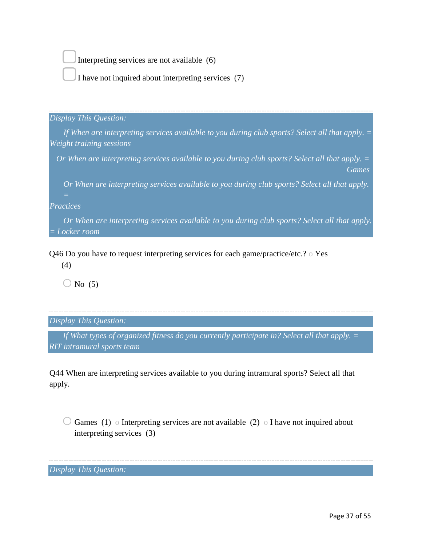Interpreting services are not available (6)

I have not inquired about interpreting services (7)

## *Display This Question:*

*If When are interpreting services available to you during club sports? Select all that apply. = Weight training sessions* 

*Or When are interpreting services available to you during club sports? Select all that apply. = Games* 

*Or When are interpreting services available to you during club sports? Select all that apply.* 

*Practices* 

*Or When are interpreting services available to you during club sports? Select all that apply. = Locker room* 

Q46 Do you have to request interpreting services for each game/practice/etc.? o Yes

(4)

 $\bigcirc$  No (5)

*Display This Question:* 

*If What types of organized fitness do you currently participate in? Select all that apply. = RIT intramural sports team* 

Q44 When are interpreting services available to you during intramural sports? Select all that apply.

 $\bigcirc$  Games (1) o Interpreting services are not available (2) o I have not inquired about interpreting services (3)

*Display This Question:*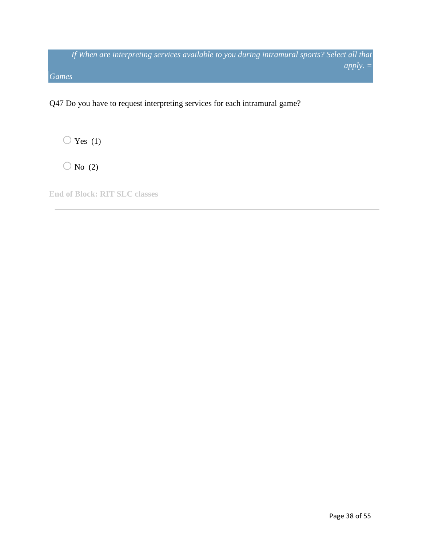*If When are interpreting services available to you during intramural sports? Select all that apply. = Games* 

Q47 Do you have to request interpreting services for each intramural game?

 $\bigcirc$  Yes (1)

 $\bigcirc$  No (2)

**End of Block: RIT SLC classes**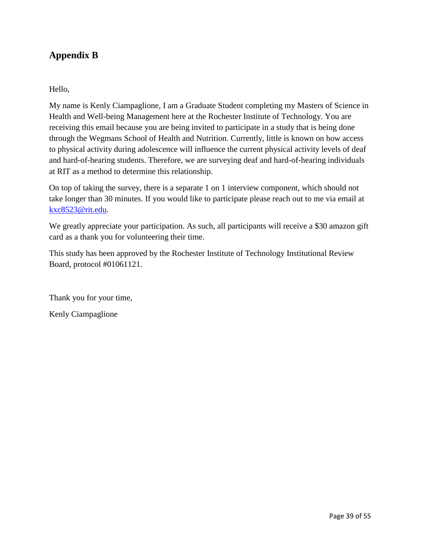## **Appendix B**

## Hello,

My name is Kenly Ciampaglione, I am a Graduate Student completing my Masters of Science in Health and Well-being Management here at the Rochester Institute of Technology. You are receiving this email because you are being invited to participate in a study that is being done through the Wegmans School of Health and Nutrition. Currently, little is known on how access to physical activity during adolescence will influence the current physical activity levels of deaf and hard-of-hearing students. Therefore, we are surveying deaf and hard-of-hearing individuals at RIT as a method to determine this relationship.

On top of taking the survey, there is a separate 1 on 1 interview component, which should not take longer than 30 minutes. If you would like to participate please reach out to me via email at kxc8523@rit.edu.

We greatly appreciate your participation. As such, all participants will receive a \$30 amazon gift card as a thank you for volunteering their time.

This study has been approved by the Rochester Institute of Technology Institutional Review Board, protocol #01061121.

Thank you for your time,

Kenly Ciampaglione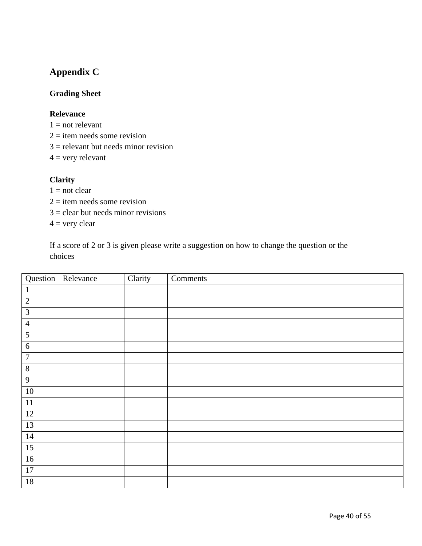## **Appendix C**

## **Grading Sheet**

## **Relevance**

- $1 = not$  relevant
- $2 =$  item needs some revision
- $3$  = relevant but needs minor revision

 $4 =$  very relevant

## **Clarity**

- $1 = not clear$
- $2 =$  item needs some revision
- $3 =$  clear but needs minor revisions

 $4 =$  very clear

If a score of 2 or 3 is given please write a suggestion on how to change the question or the choices

|                  | Question Relevance | Clarity | Comments |
|------------------|--------------------|---------|----------|
| $\mathbf{1}$     |                    |         |          |
| $\mathbf{2}$     |                    |         |          |
| $\mathfrak{Z}$   |                    |         |          |
| $\overline{4}$   |                    |         |          |
| $\mathfrak{S}$   |                    |         |          |
| $\sqrt{6}$       |                    |         |          |
| $\boldsymbol{7}$ |                    |         |          |
| $8\,$            |                    |         |          |
| $\overline{9}$   |                    |         |          |
| $10\,$           |                    |         |          |
| $11\,$           |                    |         |          |
| 12               |                    |         |          |
| 13               |                    |         |          |
| $14\,$           |                    |         |          |
| $\overline{15}$  |                    |         |          |
| $16\,$           |                    |         |          |
| $\overline{17}$  |                    |         |          |
| $18\,$           |                    |         |          |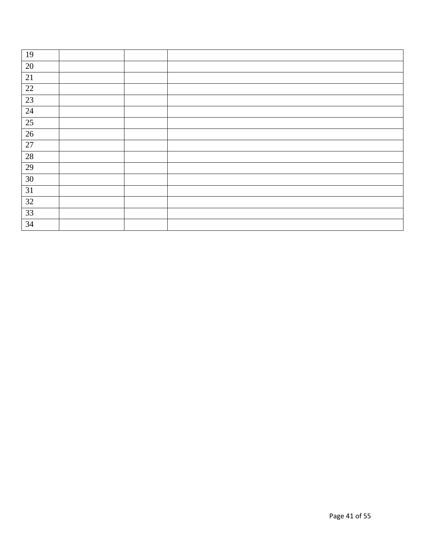| 19              |  |  |
|-----------------|--|--|
| 20              |  |  |
| 21              |  |  |
| $\overline{22}$ |  |  |
| 23              |  |  |
| 24              |  |  |
| 25              |  |  |
| 26              |  |  |
| $27\,$          |  |  |
| 28              |  |  |
| 29              |  |  |
| 30              |  |  |
| 31              |  |  |
| 32              |  |  |
| 33              |  |  |
| 34              |  |  |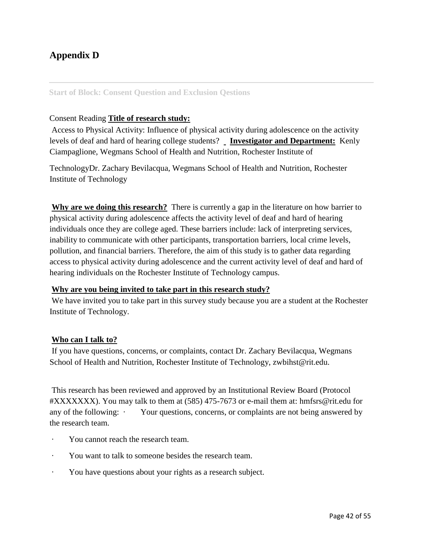## **Appendix D**

## **Start of Block: Consent Question and Exclusion Qestions**

## Consent Reading **Title of research study:**

Access to Physical Activity: Influence of physical activity during adolescence on the activity levels of deaf and hard of hearing college students? **Investigator and Department:** Kenly Ciampaglione, Wegmans School of Health and Nutrition, Rochester Institute of

TechnologyDr. Zachary Bevilacqua, Wegmans School of Health and Nutrition, Rochester Institute of Technology

**Why are we doing this research?** There is currently a gap in the literature on how barrier to physical activity during adolescence affects the activity level of deaf and hard of hearing individuals once they are college aged. These barriers include: lack of interpreting services, inability to communicate with other participants, transportation barriers, local crime levels, pollution, and financial barriers. Therefore, the aim of this study is to gather data regarding access to physical activity during adolescence and the current activity level of deaf and hard of hearing individuals on the Rochester Institute of Technology campus.

#### **Why are you being invited to take part in this research study?**

We have invited you to take part in this survey study because you are a student at the Rochester Institute of Technology.

## **Who can I talk to?**

If you have questions, concerns, or complaints, contact Dr. Zachary Bevilacqua, Wegmans School of Health and Nutrition, Rochester Institute of Technology, zwbihst@rit.edu.

This research has been reviewed and approved by an Institutional Review Board (Protocol #XXXXXXX). You may talk to them at (585) 475-7673 or e-mail them at: hmfsrs@rit.edu for any of the following: · Your questions, concerns, or complaints are not being answered by the research team.

- You cannot reach the research team.
- · You want to talk to someone besides the research team.
- · You have questions about your rights as a research subject.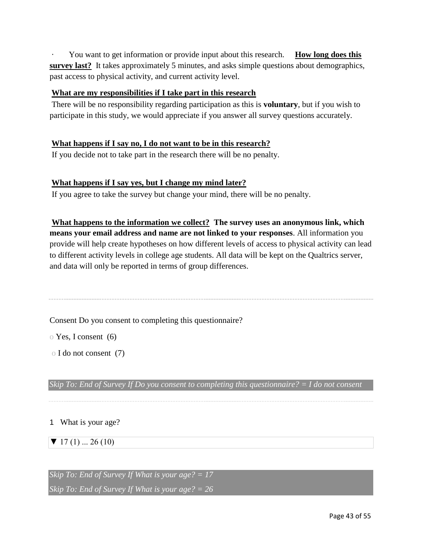You want to get information or provide input about this research. **How long does this survey last?** It takes approximately 5 minutes, and asks simple questions about demographics, past access to physical activity, and current activity level.

## **What are my responsibilities if I take part in this research**

There will be no responsibility regarding participation as this is **voluntary**, but if you wish to participate in this study, we would appreciate if you answer all survey questions accurately.

## **What happens if I say no, I do not want to be in this research?**

If you decide not to take part in the research there will be no penalty.

## **What happens if I say yes, but I change my mind later?**

If you agree to take the survey but change your mind, there will be no penalty.

**What happens to the information we collect? The survey uses an anonymous link, which means your email address and name are not linked to your responses**. All information you provide will help create hypotheses on how different levels of access to physical activity can lead to different activity levels in college age students. All data will be kept on the Qualtrics server, and data will only be reported in terms of group differences.

Consent Do you consent to completing this questionnaire?

o Yes, I consent (6)

o I do not consent (7)

*Skip To: End of Survey If Do you consent to completing this questionnaire? = I do not consent* 

## 1 What is your age?

## $\blacktriangledown$  17 (1) ... 26 (10)

*Skip To: End of Survey If What is your age? = 17 Skip To: End of Survey If What is your age? = 26*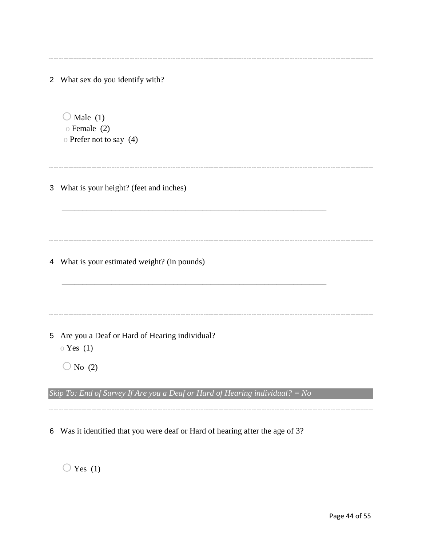|                | 2 What sex do you identify with?                                                    |
|----------------|-------------------------------------------------------------------------------------|
|                | Male $(1)$<br>$\circ$ Female (2)<br>o Prefer not to say (4)                         |
| 3              | What is your height? (feet and inches)                                              |
|                | 4 What is your estimated weight? (in pounds)                                        |
| 5 <sup>5</sup> | Are you a Deaf or Hard of Hearing individual?<br>$\circ$ Yes (1)<br>$\sqrt{N_0(2)}$ |
|                | Skip To: End of Survey If Are you a Deaf or Hard of Hearing individual? = No        |

6 Was it identified that you were deaf or Hard of hearing after the age of 3?

 $\bigcirc$  Yes (1)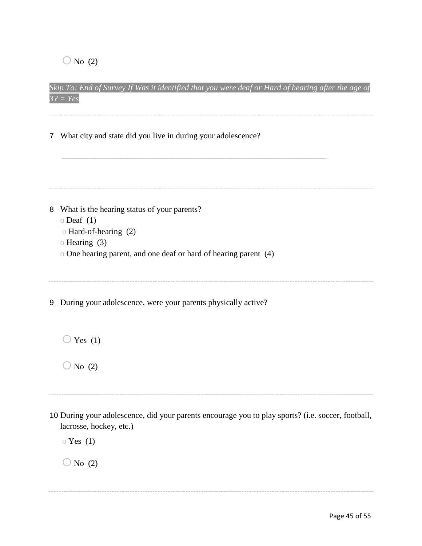$\bigcirc$  No (2)

| $3? = Yes$                                                     |
|----------------------------------------------------------------|
| 7 What city and state did you live in during your adolescence? |
|                                                                |

*Skip To: End of Survey If Was it identified that you were deaf or Hard of hearing after the age of* 

8 What is the hearing status of your parents?  $\circ$  Deaf (1) o Hard-of-hearing (2) o Hearing (3) o One hearing parent, and one deaf or hard of hearing parent (4) 9 During your adolescence, were your parents physically active?  $\bigcirc$  Yes (1)  $\bigcirc$  No (2) 10 During your adolescence, did your parents encourage you to play sports? (i.e. soccer, football, lacrosse, hockey, etc.) o Yes (1)  $\bigcirc$  No (2)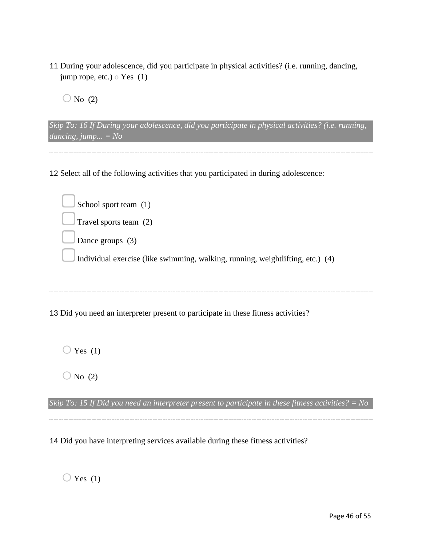- 11 During your adolescence, did you participate in physical activities? (i.e. running, dancing, jump rope, etc.) o Yes (1)
	- $\bigcirc$  No (2)

*Skip To: 16 If During your adolescence, did you participate in physical activities? (i.e. running, dancing, jump... = No* 

12 Select all of the following activities that you participated in during adolescence:

| School sport team (1)                                                              |
|------------------------------------------------------------------------------------|
| $\vert$ Travel sports team (2)                                                     |
| Dance groups $(3)$                                                                 |
| Individual exercise (like swimming, walking, running, weightlifting, etc.) (4)     |
|                                                                                    |
|                                                                                    |
| 13 Did you need an interpreter present to participate in these fitness activities? |

 $\bigcirc$  Yes (1)

 $\bigcirc$  No (2)

*Skip To: 15 If Did you need an interpreter present to participate in these fitness activities? = No* 

14 Did you have interpreting services available during these fitness activities?

 $\bigcirc$  Yes (1)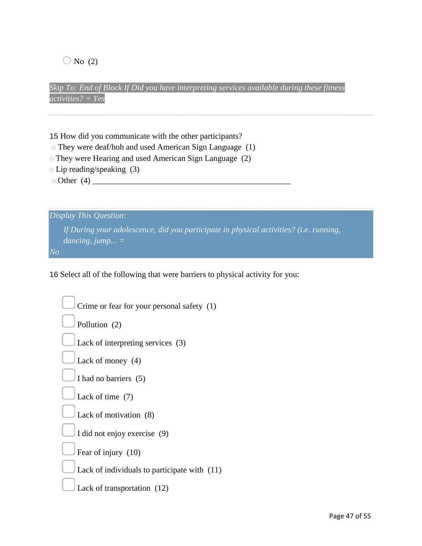$\bigcirc$  No (2)

*Skip To: End of Block If Did you have interpreting services available during these fitness activities? = Yes* 

15 How did you communicate with the other participants?

o They were deaf/hoh and used American Sign Language (1)

- o They were Hearing and used American Sign Language (2)
- o Lip reading/speaking (3)

o Other (4) \_\_\_\_\_\_\_\_\_\_\_\_\_\_\_\_\_\_\_\_\_\_\_\_\_\_\_\_\_\_\_\_\_\_\_\_\_\_\_\_\_\_\_\_\_\_\_\_

*Display This Question: If During your adolescence, did you participate in physical activities? (i.e. running, dancing, jump... = No* 

16 Select all of the following that were barriers to physical activity for you:

| Crime or fear for your personal safety (1)   |
|----------------------------------------------|
| Pollution (2)                                |
| Lack of interpreting services (3)            |
| Lack of money (4)                            |
| I had no barriers (5)                        |
| Lack of time $(7)$                           |
| Lack of motivation (8)                       |
| I did not enjoy exercise (9)                 |
| Fear of injury (10)                          |
| Lack of individuals to participate with (11) |
| Lack of transportation (12)                  |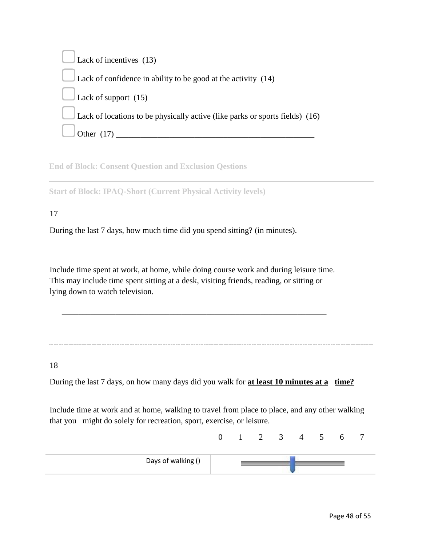Lack of incentives (13) Lack of confidence in ability to be good at the activity (14) Lack of support (15) Lack of locations to be physically active (like parks or sports fields) (16) Other  $(17)$ 

**End of Block: Consent Question and Exclusion Qestions** 

**Start of Block: IPAQ-Short (Current Physical Activity levels)** 

## 17

During the last 7 days, how much time did you spend sitting? (in minutes).

Include time spent at work, at home, while doing course work and during leisure time. This may include time spent sitting at a desk, visiting friends, reading, or sitting or lying down to watch television.

\_\_\_\_\_\_\_\_\_\_\_\_\_\_\_\_\_\_\_\_\_\_\_\_\_\_\_\_\_\_\_\_\_\_\_\_\_\_\_\_\_\_\_\_\_\_\_\_\_\_\_\_\_\_\_\_\_\_\_\_\_\_\_\_

18

During the last 7 days, on how many days did you walk for **at least 10 minutes at a time?**

Include time at work and at home, walking to travel from place to place, and any other walking that you might do solely for recreation, sport, exercise, or leisure.

|                    |  | ∽ | ັ | 4 | $\mathcal{D}$ |  |  |
|--------------------|--|---|---|---|---------------|--|--|
| Days of walking () |  |   |   |   |               |  |  |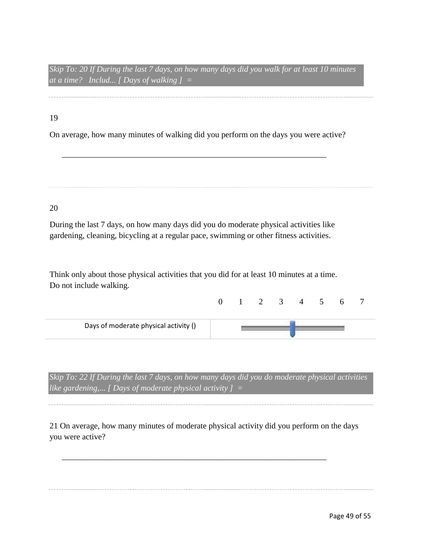*Skip To: 20 If During the last 7 days, on how many days did you walk for at least 10 minutes at a time? Includ... [ Days of walking ] =* 

19

On average, how many minutes of walking did you perform on the days you were active?

\_\_\_\_\_\_\_\_\_\_\_\_\_\_\_\_\_\_\_\_\_\_\_\_\_\_\_\_\_\_\_\_\_\_\_\_\_\_\_\_\_\_\_\_\_\_\_\_\_\_\_\_\_\_\_\_\_\_\_\_\_\_\_\_

## 20

During the last 7 days, on how many days did you do moderate physical activities like gardening, cleaning, bicycling at a regular pace, swimming or other fitness activities.

Think only about those physical activities that you did for at least 10 minutes at a time. Do not include walking.

| Days of moderate physical activity () |  |  |  |  |  |
|---------------------------------------|--|--|--|--|--|

*Skip To: 22 If During the last 7 days, on how many days did you do moderate physical activities like gardening,... [ Days of moderate physical activity ] =* 

21 On average, how many minutes of moderate physical activity did you perform on the days you were active?

\_\_\_\_\_\_\_\_\_\_\_\_\_\_\_\_\_\_\_\_\_\_\_\_\_\_\_\_\_\_\_\_\_\_\_\_\_\_\_\_\_\_\_\_\_\_\_\_\_\_\_\_\_\_\_\_\_\_\_\_\_\_\_\_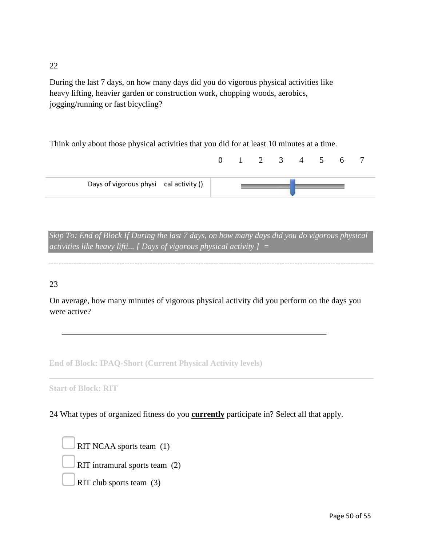22

During the last 7 days, on how many days did you do vigorous physical activities like heavy lifting, heavier garden or construction work, chopping woods, aerobics, jogging/running or fast bicycling?

Think only about those physical activities that you did for at least 10 minutes at a time.

|                                        |  |  | $0 \t 1 \t 2 \t 3 \t 4 \t 5$ | 6 <sup>1</sup> |  |
|----------------------------------------|--|--|------------------------------|----------------|--|
| Days of vigorous physi cal activity () |  |  |                              |                |  |

*Skip To: End of Block If During the last 7 days, on how many days did you do vigorous physical activities like heavy lifti... [ Days of vigorous physical activity ] =* 

## 23

On average, how many minutes of vigorous physical activity did you perform on the days you were active?

\_\_\_\_\_\_\_\_\_\_\_\_\_\_\_\_\_\_\_\_\_\_\_\_\_\_\_\_\_\_\_\_\_\_\_\_\_\_\_\_\_\_\_\_\_\_\_\_\_\_\_\_\_\_\_\_\_\_\_\_\_\_\_\_

**End of Block: IPAQ-Short (Current Physical Activity levels)** 

**Start of Block: RIT** 

24 What types of organized fitness do you **currently** participate in? Select all that apply.

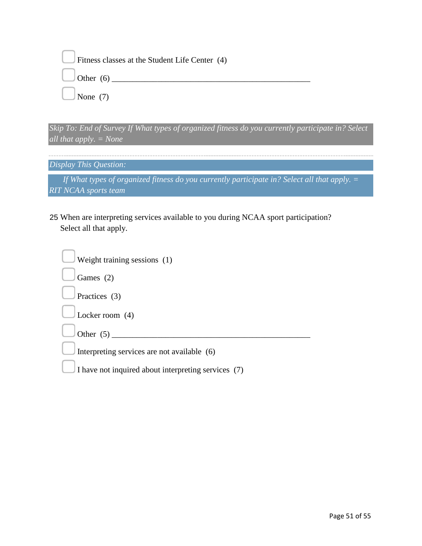| Fitness classes at the Student Life Center (4) |
|------------------------------------------------|
| $\Box$ Other (6) $\Box$                        |
| $\Box$ None (7)                                |

*Skip To: End of Survey If What types of organized fitness do you currently participate in? Select all that apply. = None* 

*Display This Question:* 

*If What types of organized fitness do you currently participate in? Select all that apply. = RIT NCAA sports team* 

25 When are interpreting services available to you during NCAA sport participation? Select all that apply.

| Weight training sessions (1)                        |
|-----------------------------------------------------|
| Games $(2)$                                         |
| Practices (3)                                       |
| Locker room $(4)$                                   |
| Other $(5)$                                         |
| Interpreting services are not available (6)         |
| I have not inquired about interpreting services (7) |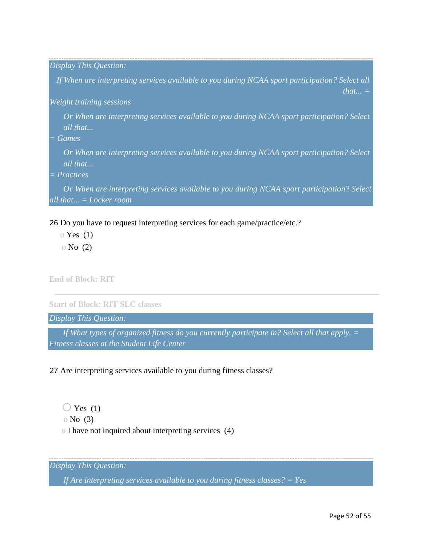*Display This Question:* 

*If When are interpreting services available to you during NCAA sport participation? Select all that... =* 

*Weight training sessions* 

*Or When are interpreting services available to you during NCAA sport participation? Select all that...* 

*= Games* 

*Or When are interpreting services available to you during NCAA sport participation? Select all that...* 

*= Practices* 

*Or When are interpreting services available to you during NCAA sport participation? Select all that... = Locker room* 

26 Do you have to request interpreting services for each game/practice/etc.?

- $\circ$  Yes (1)
- o No (2)

**End of Block: RIT** 

**Start of Block: RIT SLC classes** 

*Display This Question:* 

*If What types of organized fitness do you currently participate in? Select all that apply. = Fitness classes at the Student Life Center* 

27 Are interpreting services available to you during fitness classes?

 $\bigcirc$  Yes (1) o No (3) o I have not inquired about interpreting services (4)

*Display This Question:* 

*If Are interpreting services available to you during fitness classes? = Yes*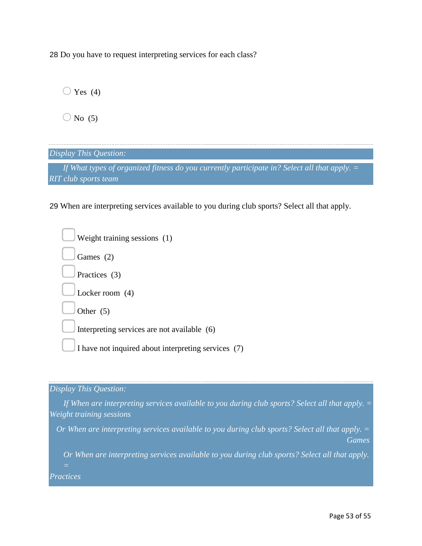28 Do you have to request interpreting services for each class?

 $\bigcirc$  Yes (4)

 $\bigcirc$  No (5)

*Display This Question:* 

*If What types of organized fitness do you currently participate in? Select all that apply. = RIT club sports team* 

29 When are interpreting services available to you during club sports? Select all that apply.

| Weight training sessions (1)                        |  |
|-----------------------------------------------------|--|
| Games (2)                                           |  |
| Practices (3)                                       |  |
| Locker room $(4)$                                   |  |
| Other $(5)$                                         |  |
| Interpreting services are not available (6)         |  |
| I have not inquired about interpreting services (7) |  |
|                                                     |  |

*Display This Question:* 

*If When are interpreting services available to you during club sports? Select all that apply. = Weight training sessions* 

*Or When are interpreting services available to you during club sports? Select all that apply. = Games* 

*Or When are interpreting services available to you during club sports? Select all that apply.* 

*Practices*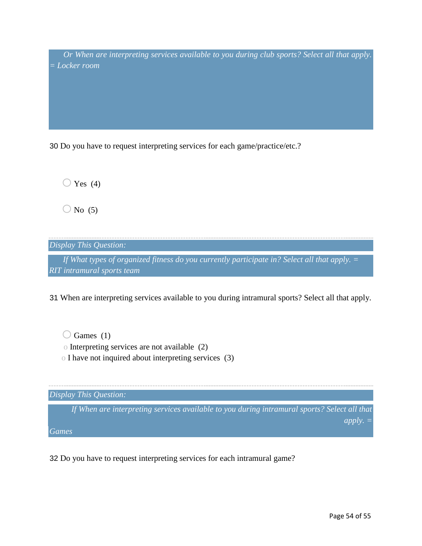*Or When are interpreting services available to you during club sports? Select all that apply. = Locker room* 

30 Do you have to request interpreting services for each game/practice/etc.?

 $\bigcirc$  Yes (4)

 $\bigcirc$  No (5)

*Display This Question:* 

*If What types of organized fitness do you currently participate in? Select all that apply. = RIT intramural sports team* 

31 When are interpreting services available to you during intramural sports? Select all that apply.

 $\bigcirc$  Games (1) o Interpreting services are not available (2)

o I have not inquired about interpreting services (3)

*Display This Question: If When are interpreting services available to you during intramural sports? Select all that apply. = Games* 

32 Do you have to request interpreting services for each intramural game?